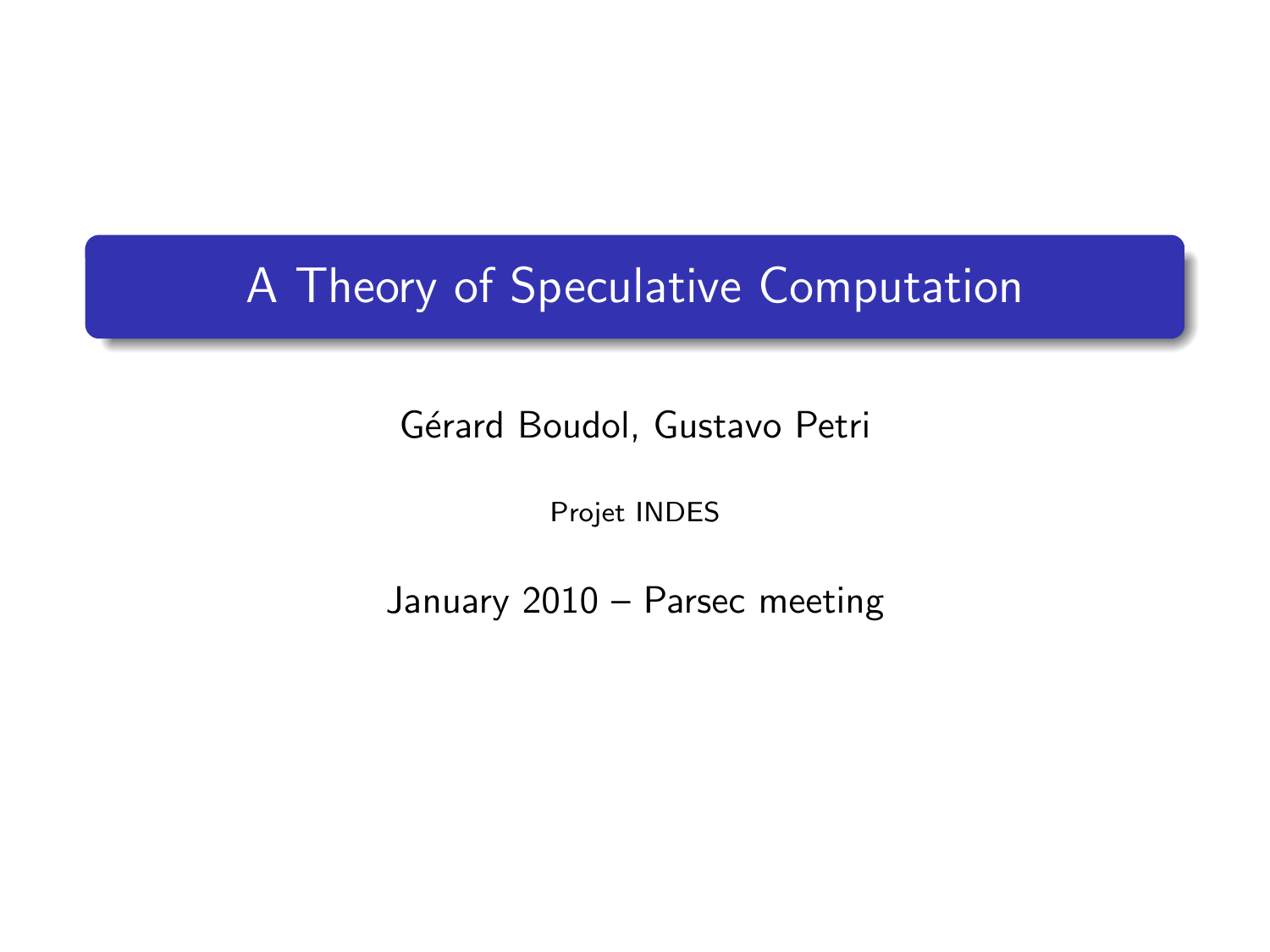## A Theory of Speculative Computation

Gérard Boudol, Gustavo Petri

Projet INDES

January 2010 – Parsec meeting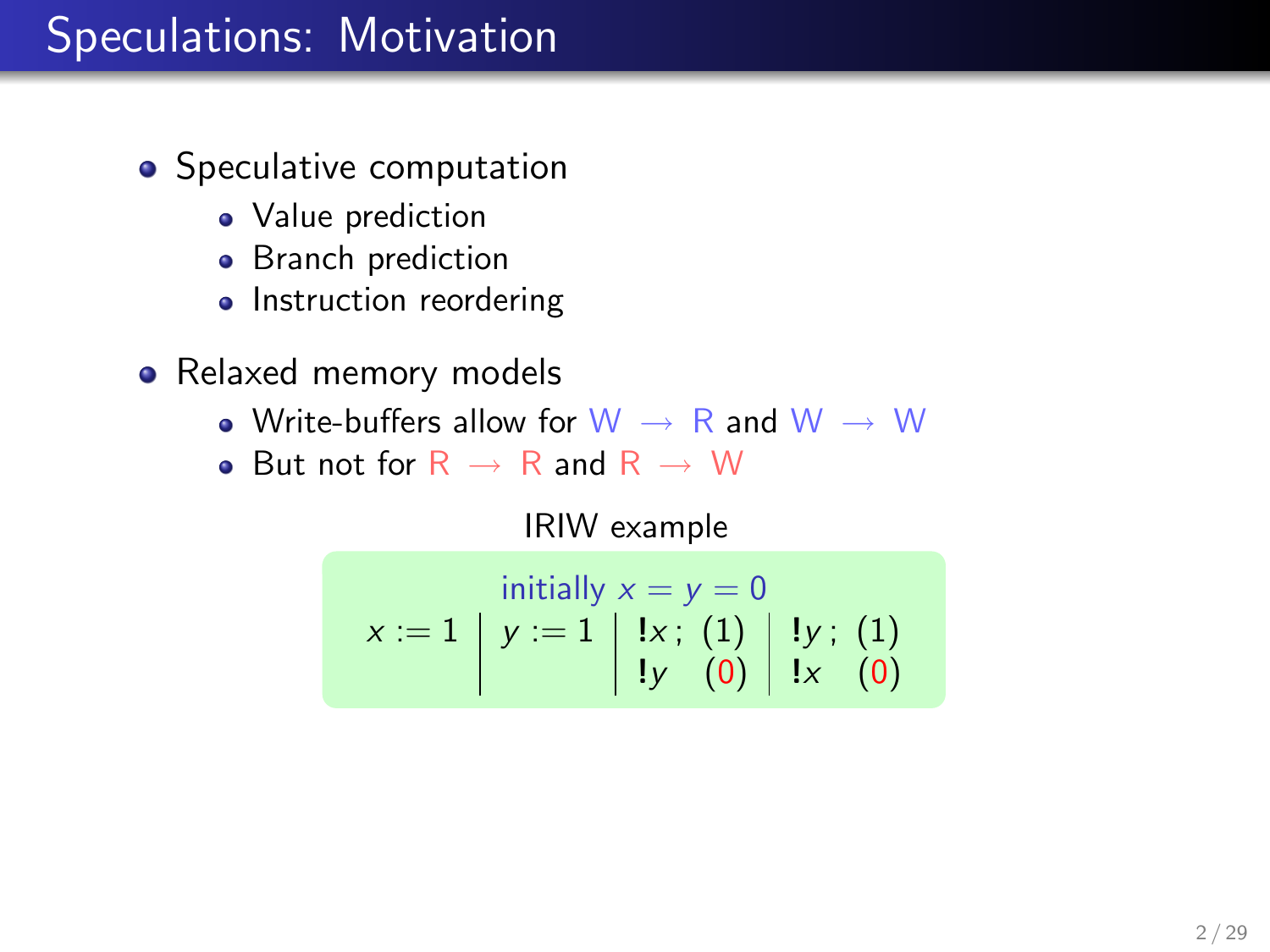## Speculations: Motivation

- Speculative computation
	- Value prediction
	- Branch prediction
	- Instruction reordering
- Relaxed memory models
	- Write-buffers allow for  $W \rightarrow R$  and  $W \rightarrow W$
	- But not for  $R \rightarrow R$  and  $R \rightarrow W$

IRIW example

$$
x := 1 \begin{array}{c} \text{initially } x = y = 0 \\ y := 1 \begin{array}{c} 1x \\ 1y \\ 0 \end{array} \end{array}
$$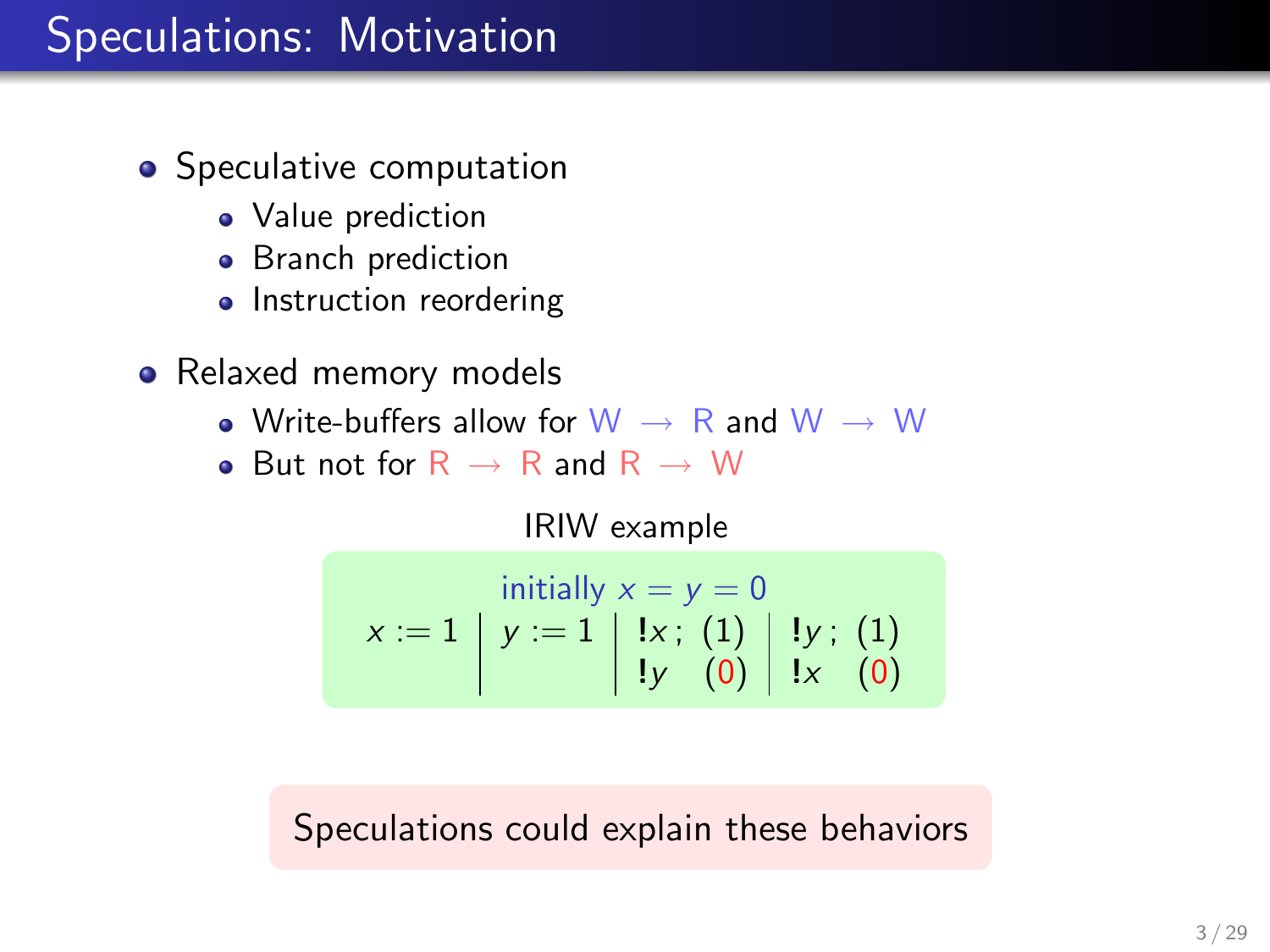## Speculations: Motivation

- Speculative computation
	- Value prediction
	- Branch prediction
	- Instruction reordering
- Relaxed memory models
	- Write-buffers allow for  $W \rightarrow R$  and  $W \rightarrow W$
	- But not for  $R \rightarrow R$  and  $R \rightarrow W$

IRIW example

$$
x := 1 \mid y := 1 \mid \frac{1}{x}; \quad (1) \mid y; \quad (1)
$$
  

$$
y := 1 \mid \frac{1}{x}; \quad (1) \mid y; \quad (1)
$$
  

$$
y = 0 \mid \frac{1}{x}; \quad (0) \mid y = 0
$$

#### Speculations could explain these behaviors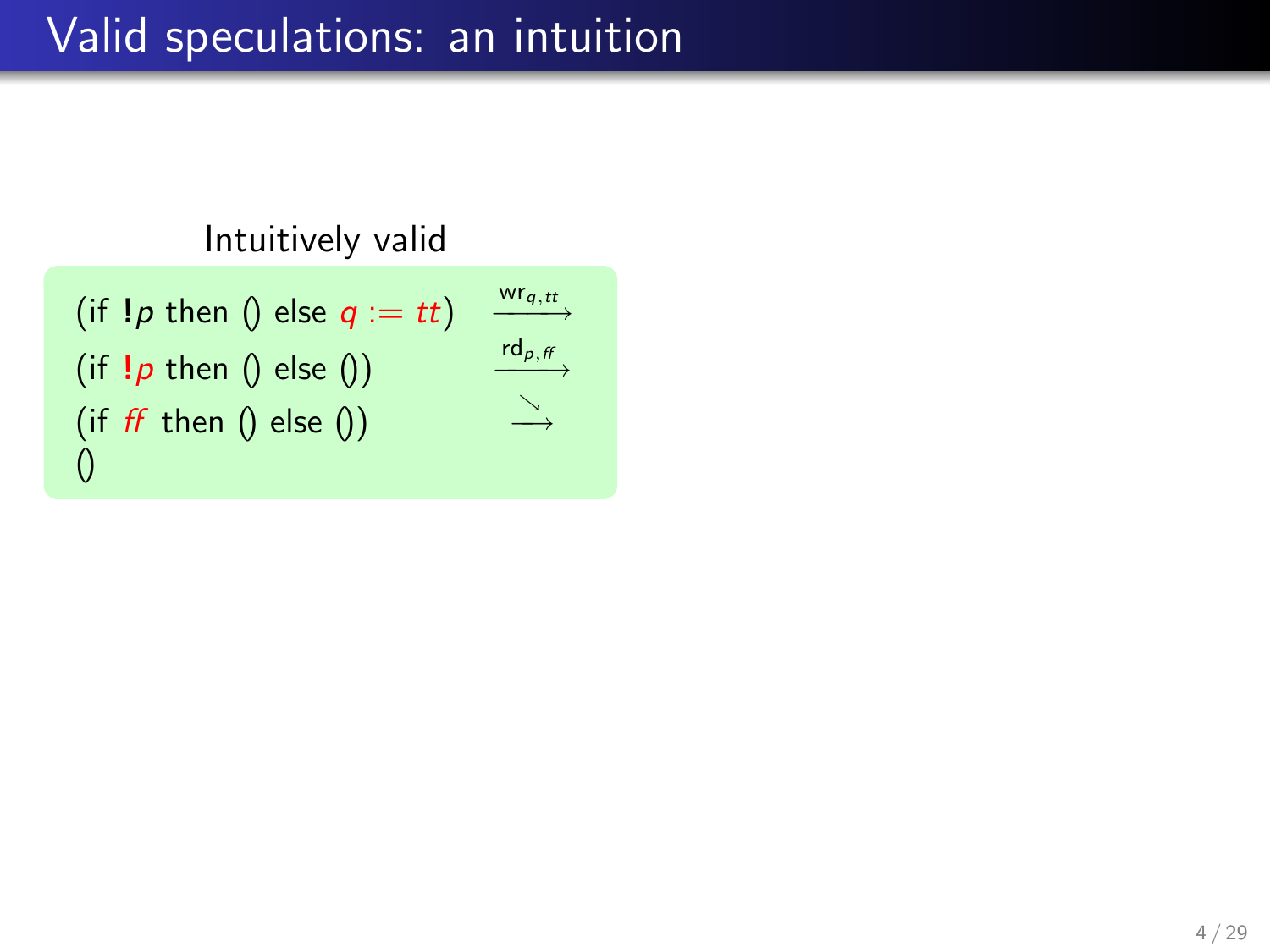# Valid speculations: an intuition

#### Intuitively valid

$$
\begin{array}{ll}\n\text{(if } \text{!}p \text{ then } 0 \text{ else } q := tt) & \xrightarrow{\text{wr}_{q,t}} \\
\text{(if } \text{!}p \text{ then } 0 \text{ else } 0) & \xrightarrow{\text{rd}_{p,f}} \\
\text{(if } ff \text{ then } 0 \text{ else } 0) & \xrightarrow{\searrow} \\
0 & \end{array}
$$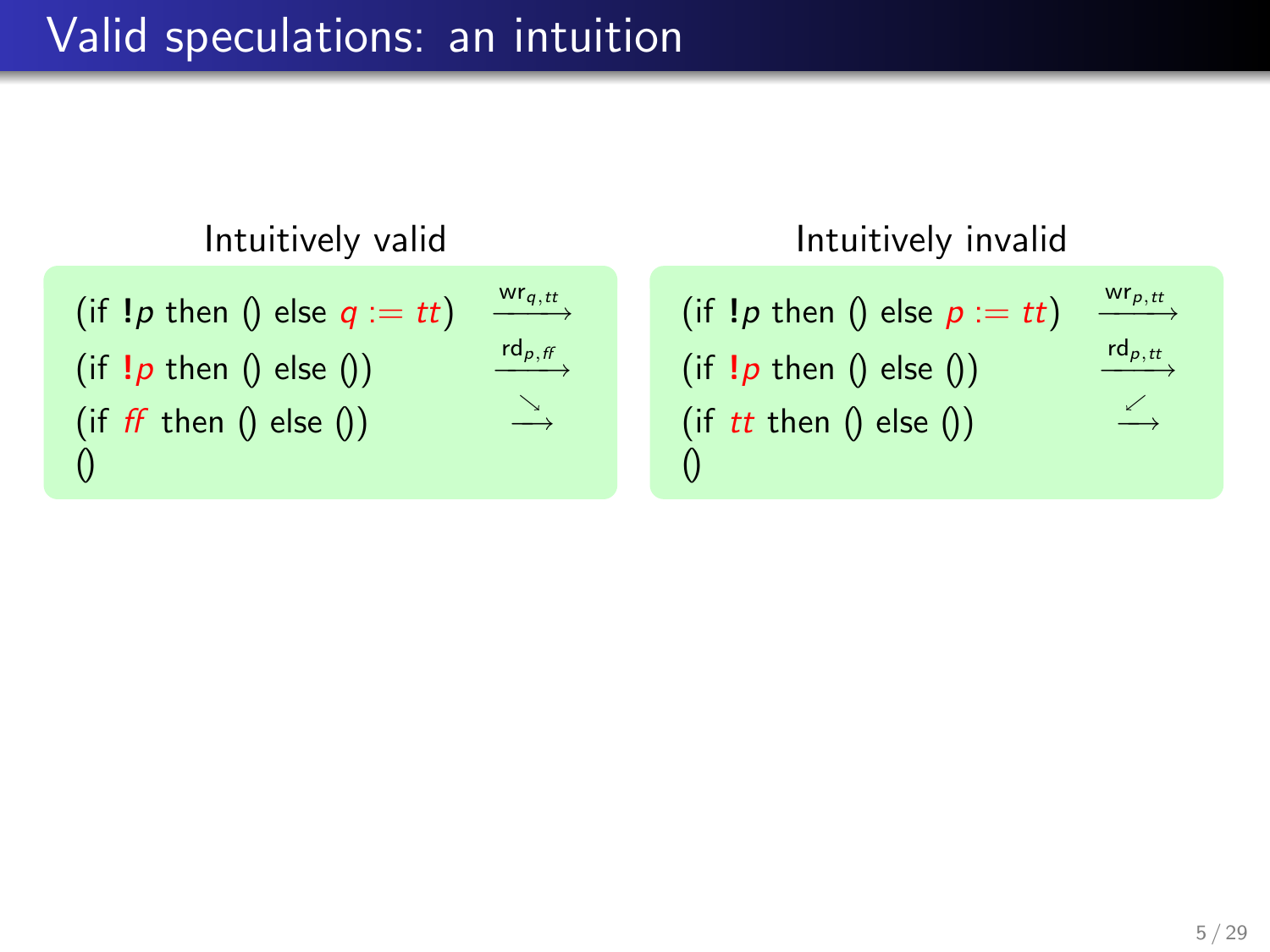### Valid speculations: an intuition



#### Intuitively invalid

| (if $!p$ then () else $p := tt$ ) | $wr_{p,tt}$ |
|-----------------------------------|-------------|
| (if $!p$ then () else ())         | $rd_{p,tt}$ |
| (if $tt$ then $()$ else $()$ )    | $\leq$      |
| $\Omega$                          |             |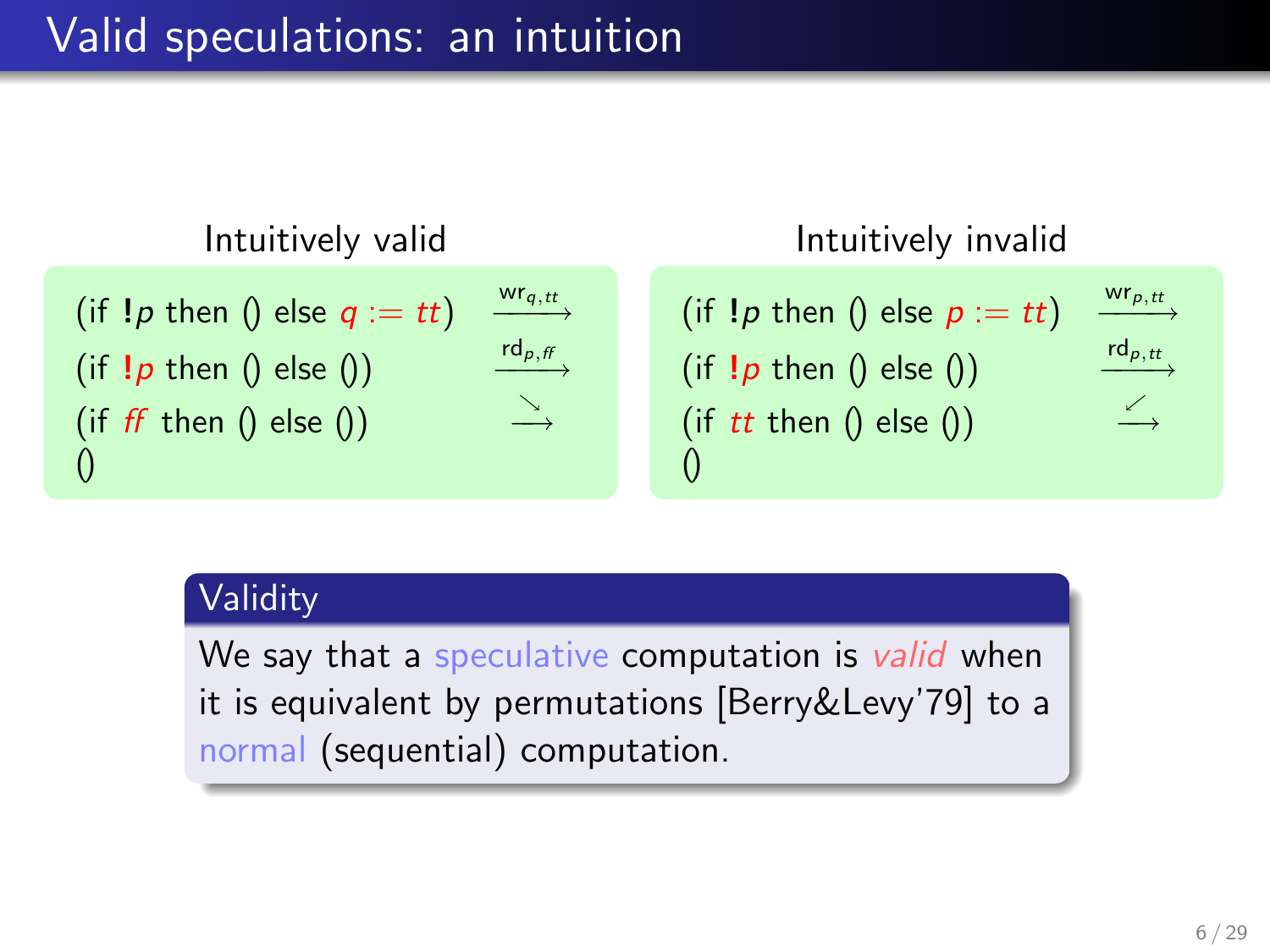### Valid speculations: an intuition



#### Validity

We say that a speculative computation is valid when it is equivalent by permutations [Berry&Levy'79] to a normal (sequential) computation.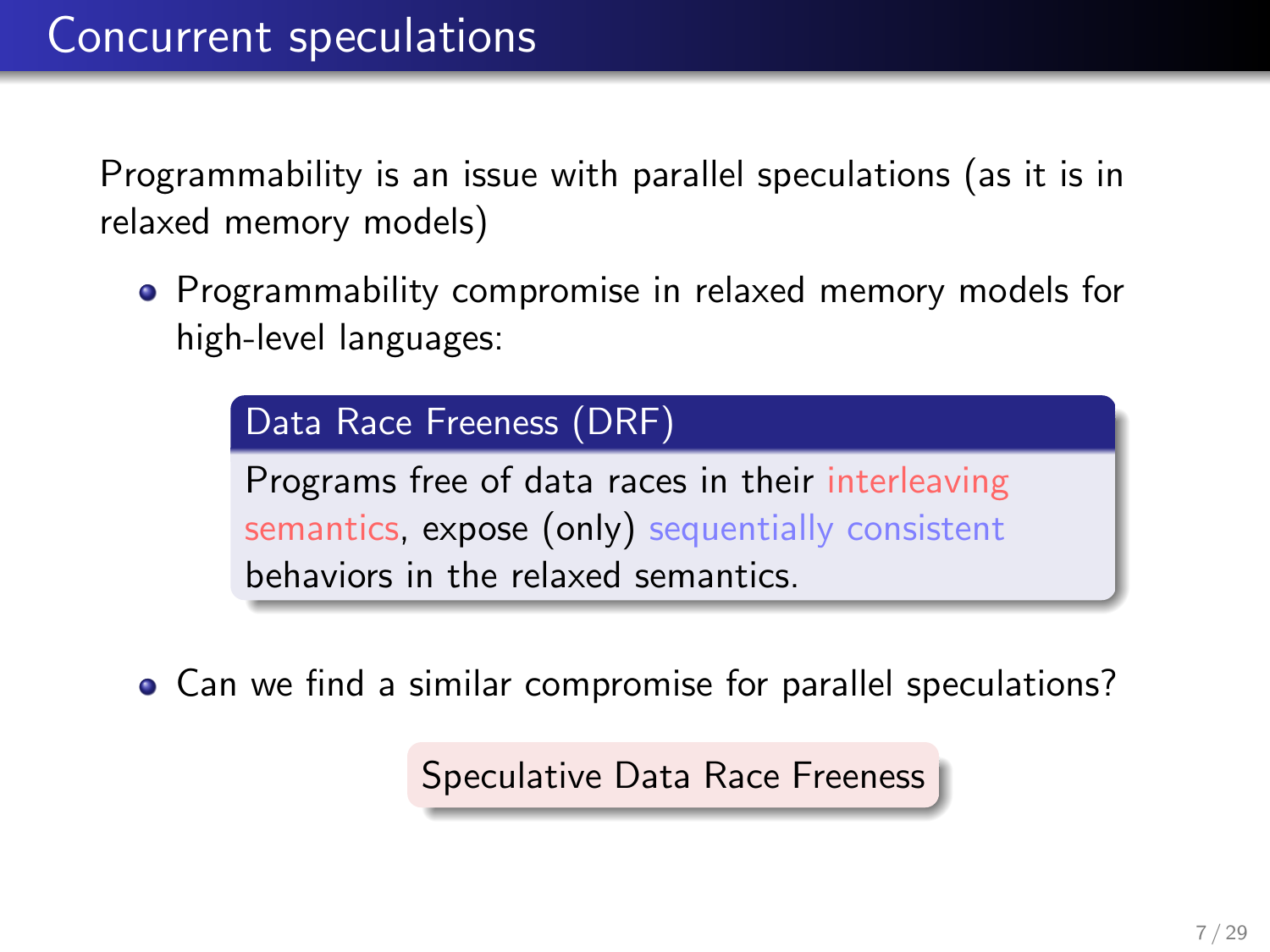Programmability is an issue with parallel speculations (as it is in relaxed memory models)

**•** Programmability compromise in relaxed memory models for high-level languages:

> Data Race Freeness (DRF) Programs free of data races in their interleaving semantics, expose (only) sequentially consistent behaviors in the relaxed semantics.

Can we find a similar compromise for parallel speculations?

Speculative Data Race Freeness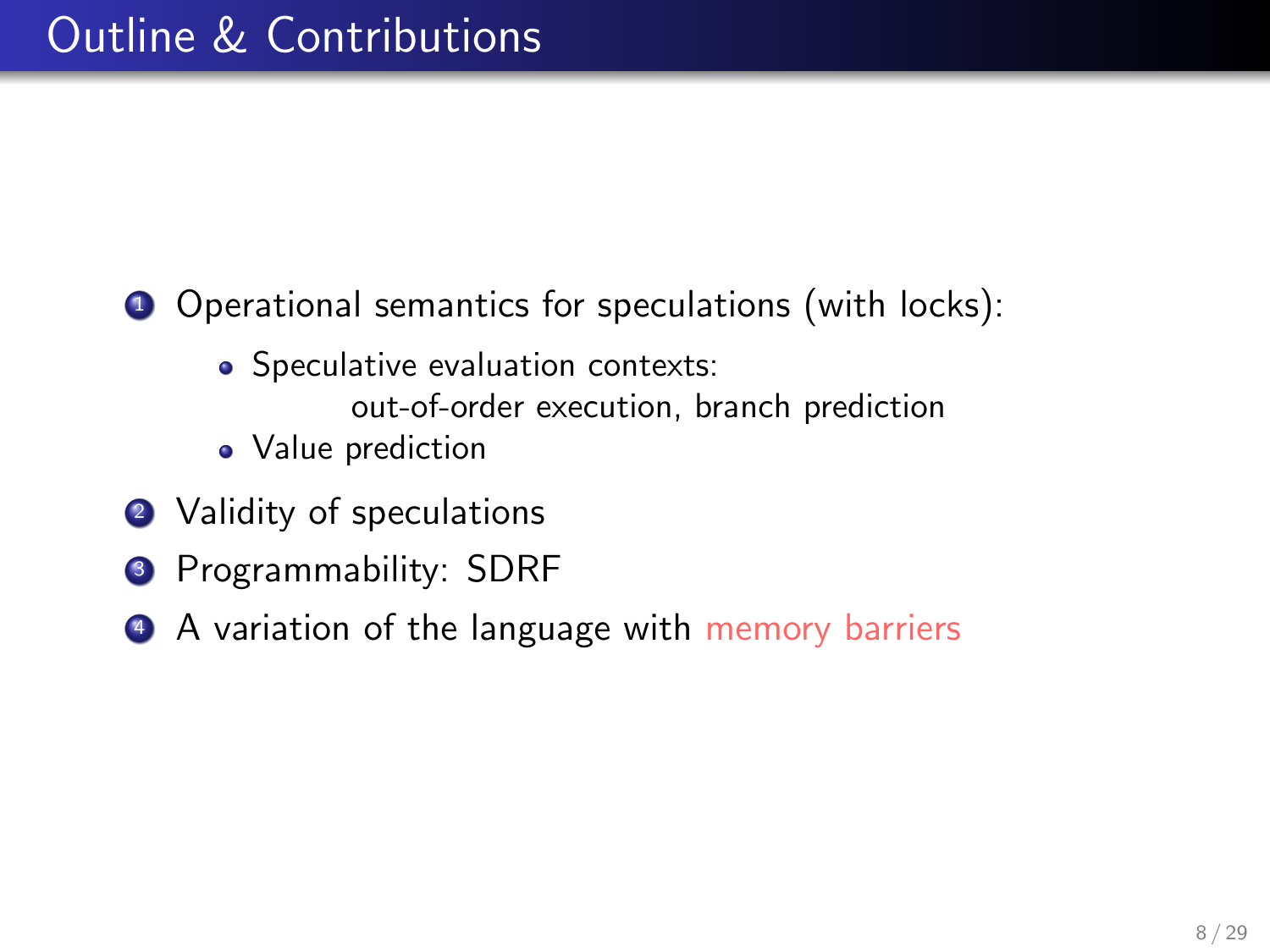**1** Operational semantics for speculations (with locks):

• Speculative evaluation contexts:

out-of-order execution, branch prediction

- Value prediction
- 2 Validity of speculations
- **<sup>3</sup>** Programmability: SDRF
- 4 A variation of the language with memory barriers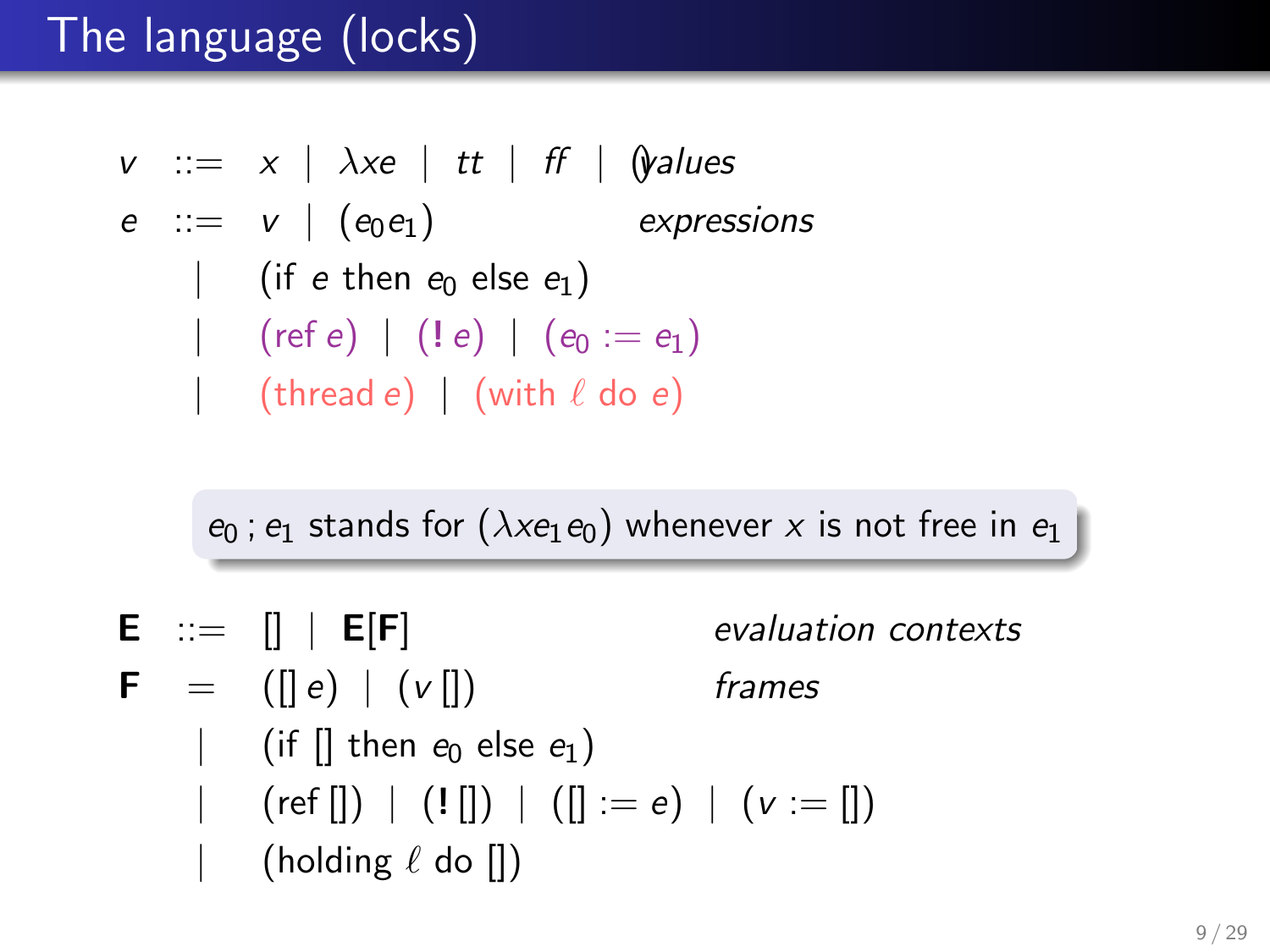# The language (locks)

$$
\begin{array}{rcl}\n\mathsf{v} & ::= & x \mid \lambda \mathsf{x}e \mid \mathsf{t}t \mid \mathsf{f}f \mid \mathsf{Q} \mathsf{values} \\
\mathsf{e} & ::= & \mathsf{v} \mid (\mathsf{e}_0 \mathsf{e}_1) \qquad \qquad \mathsf{expressions} \\
& | & (\mathsf{if} \mathsf{e} \mathsf{ then } \mathsf{e}_0 \mathsf{ else } \mathsf{e}_1) \\
& | & (\mathsf{ref} \mathsf{e}) \mid (\mathsf{!} \mathsf{e}) \mid (\mathsf{e}_0 \mathsf{ := } \mathsf{e}_1) \\
& | & (\mathsf{thread} \mathsf{ e}) \mid (\mathsf{with} \mathsf{ \ell} \mathsf{ do } \mathsf{ e})\n\end{array}
$$

 $e_0$ ;  $e_1$  stands for  $(\lambda x e_1 e_0)$  whenever x is not free in  $e_1$ 

- $E := [] | E[F]$  evaluation contexts
- $\mathbf{F} = (||e||v||)$  frames
	- (if  $\left[ \right]$  then  $e_0$  else  $e_1$ )
	- $(\text{ref } [] ) | (! [] ) | ([] := e) | (v := [] )$ (holding  $\ell$  do  $\lceil \cdot \rceil$ )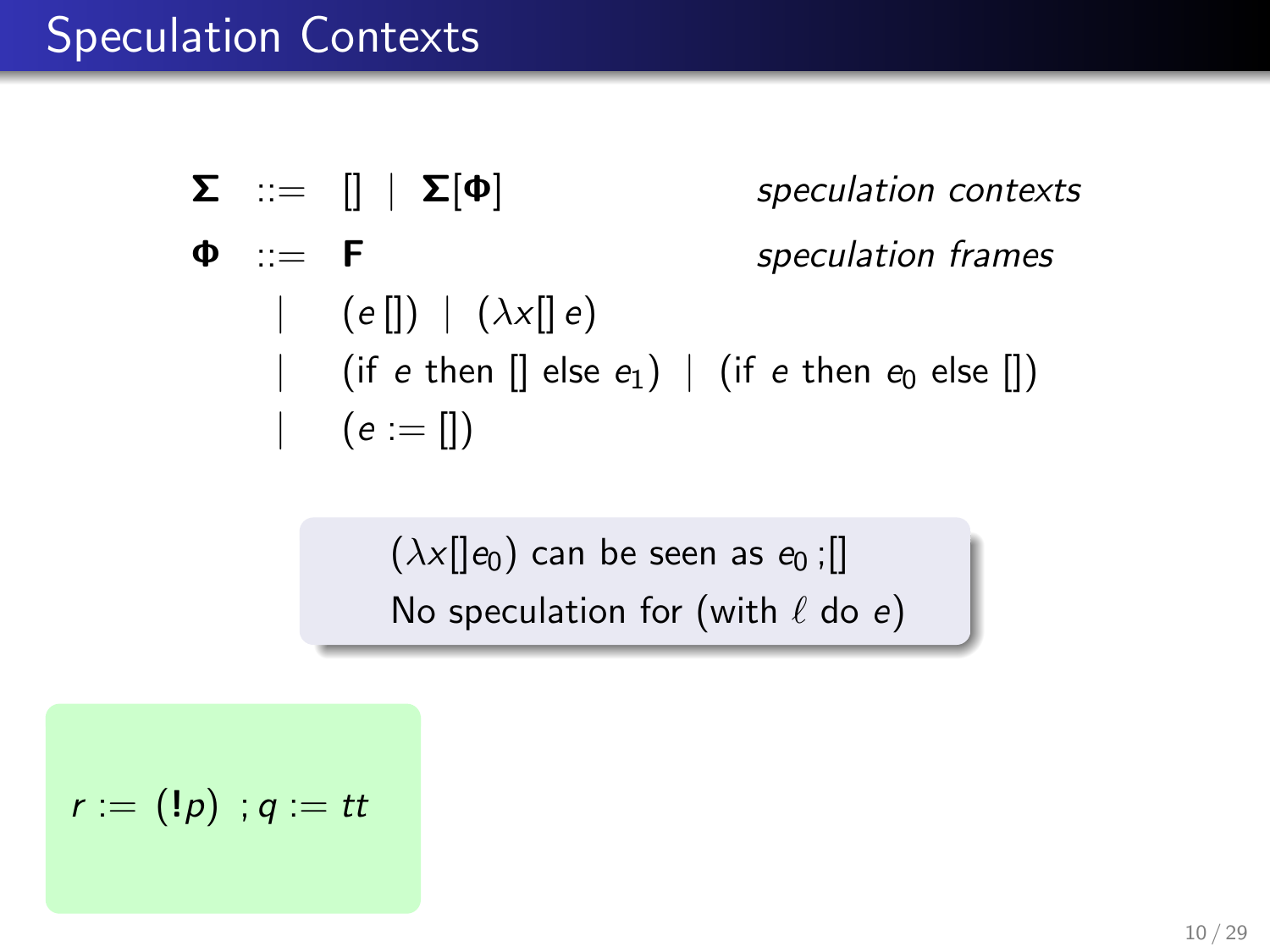$$
\Sigma :: = [] | \Sigma[\Phi] \qquad \text{speculation contexts}
$$
\n
$$
\Phi :: = F \qquad \text{speculation frames}
$$
\n
$$
| (e[]) | (\lambda x[] e) \qquad \text{if } e \text{ then } [] \text{ else } e_1) | (if e \text{ then } e_0 \text{ else } [] )
$$
\n
$$
| (e := [] )
$$

 $(\lambda x[[e_0)]$  can be seen as  $e_0$ ; No speculation for (with  $\ell$  do e)

$$
r:=(!\mathfrak{p})\ ; q:=tt
$$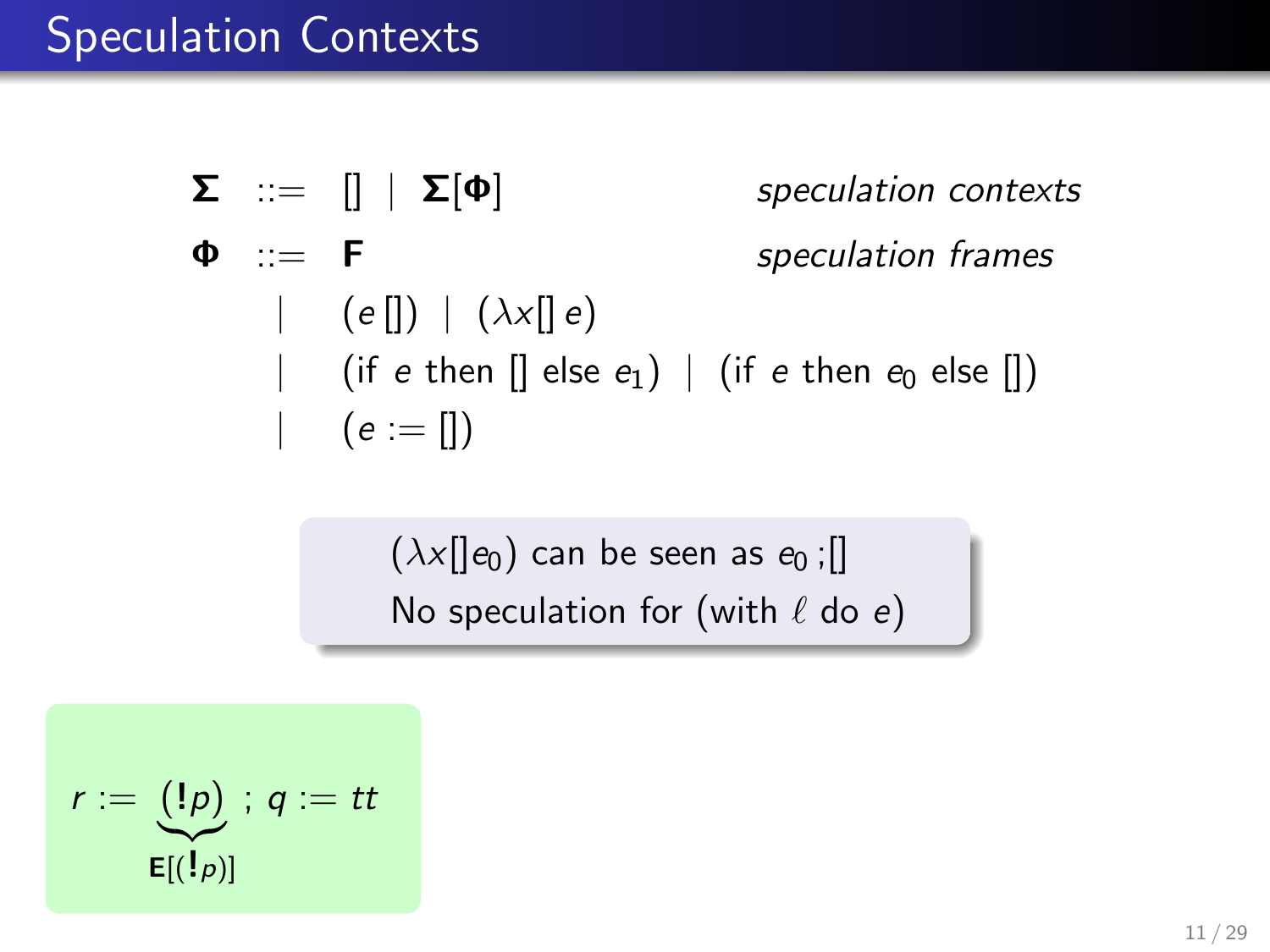$$
\Sigma :: = [] | \Sigma[\Phi] \qquad \text{speculation contexts}
$$
\n
$$
\Phi :: = F \qquad \text{speculation frames}
$$
\n
$$
| (e[]) | (\lambda x[] e) \qquad \text{if } e \text{ then } [] \text{ else } e_1) | (if e \text{ then } e_0 \text{ else } [] )
$$
\n
$$
| (e := [] )
$$

 $(\lambda x[[e_0)]$  can be seen as  $e_0$ ; No speculation for (with  $\ell$  do e)

$$
r:=\underbrace{(!p)}_{\mathsf{E}[(!p)]};\, q:=tt
$$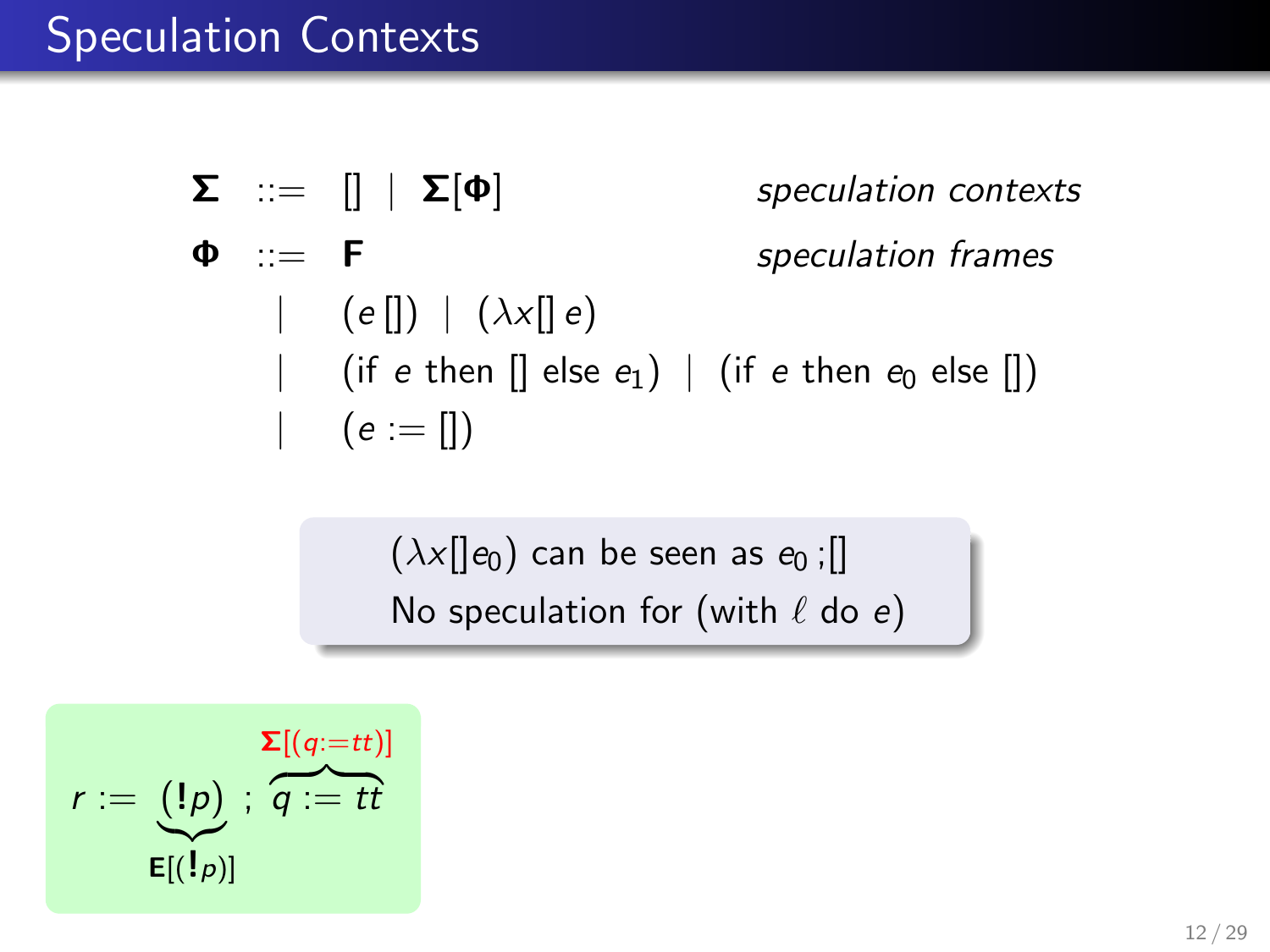$$
\Sigma :: = [] | \Sigma[\Phi] \qquad \text{speculation contexts}
$$
\n
$$
\Phi :: = F \qquad \text{speculation frames}
$$
\n
$$
| (e[]) | (\lambda \times [] e)
$$
\n
$$
| (if e then [] else e_1) | (if e then e_0 else [])
$$
\n
$$
| (e := [] )
$$

 $(\lambda x[[e_0)]$  can be seen as  $e_0$ ; No speculation for (with  $\ell$  do e)

$$
r := \underbrace{(1p)}_{\mathsf{E}[(1p)]} ; \overbrace{q := tt}^{\mathsf{E}[(q:=tt)]}
$$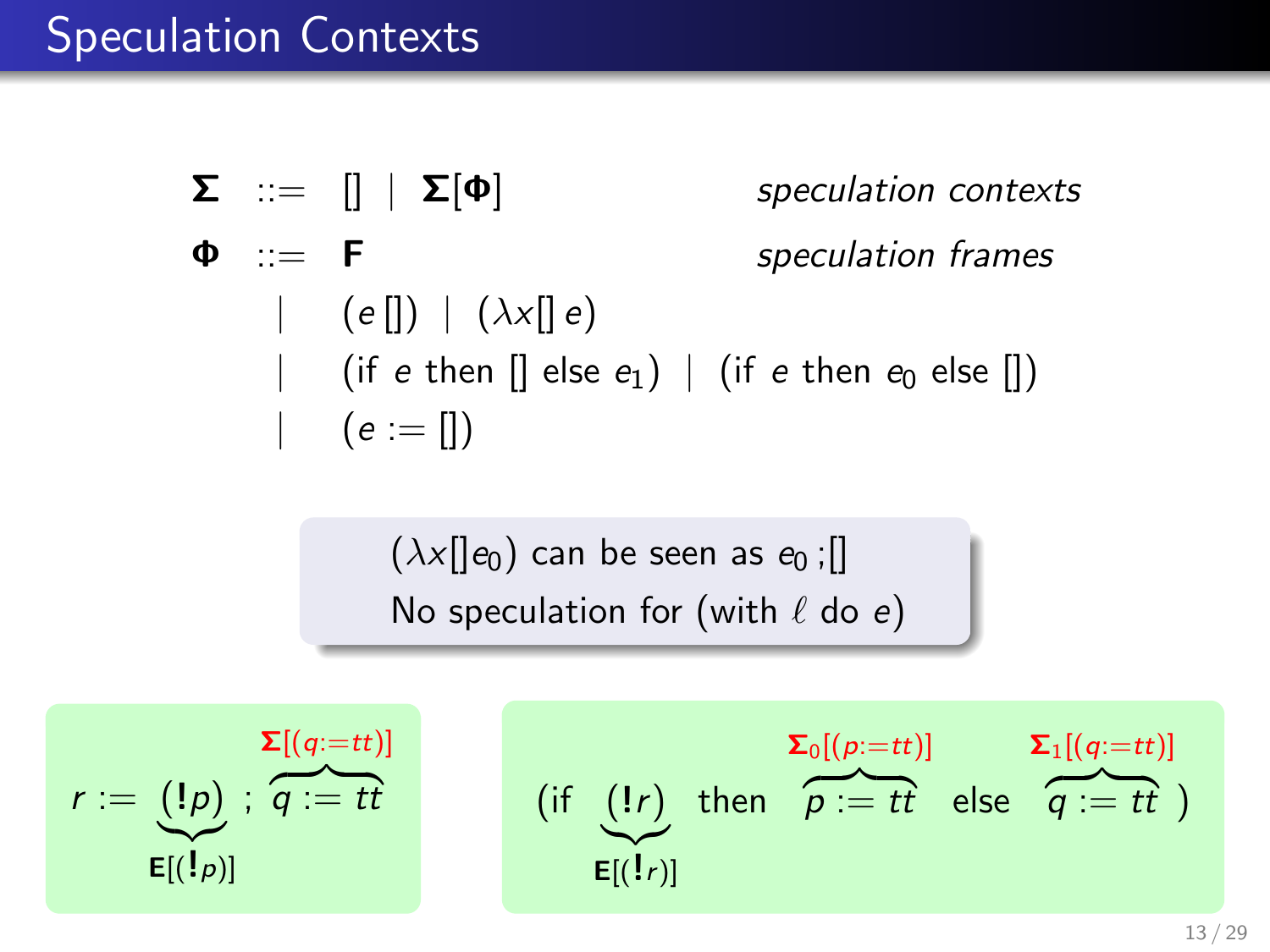$$
\Sigma :: = [] | \Sigma[\Phi] \qquad \text{speculation contexts}
$$
\n
$$
\Phi :: = F \qquad \text{speculation frames}
$$
\n
$$
| (e[]) | (\lambda \times [] e)
$$
\n
$$
| (if e then [] else e_1) | (if e then e_0 else [])
$$
\n
$$
| (e := [] )
$$

 $(\lambda x$ [ $\vert e_0)$  can be seen as  $e_0$ ; [] No speculation for (with  $\ell$  do e)

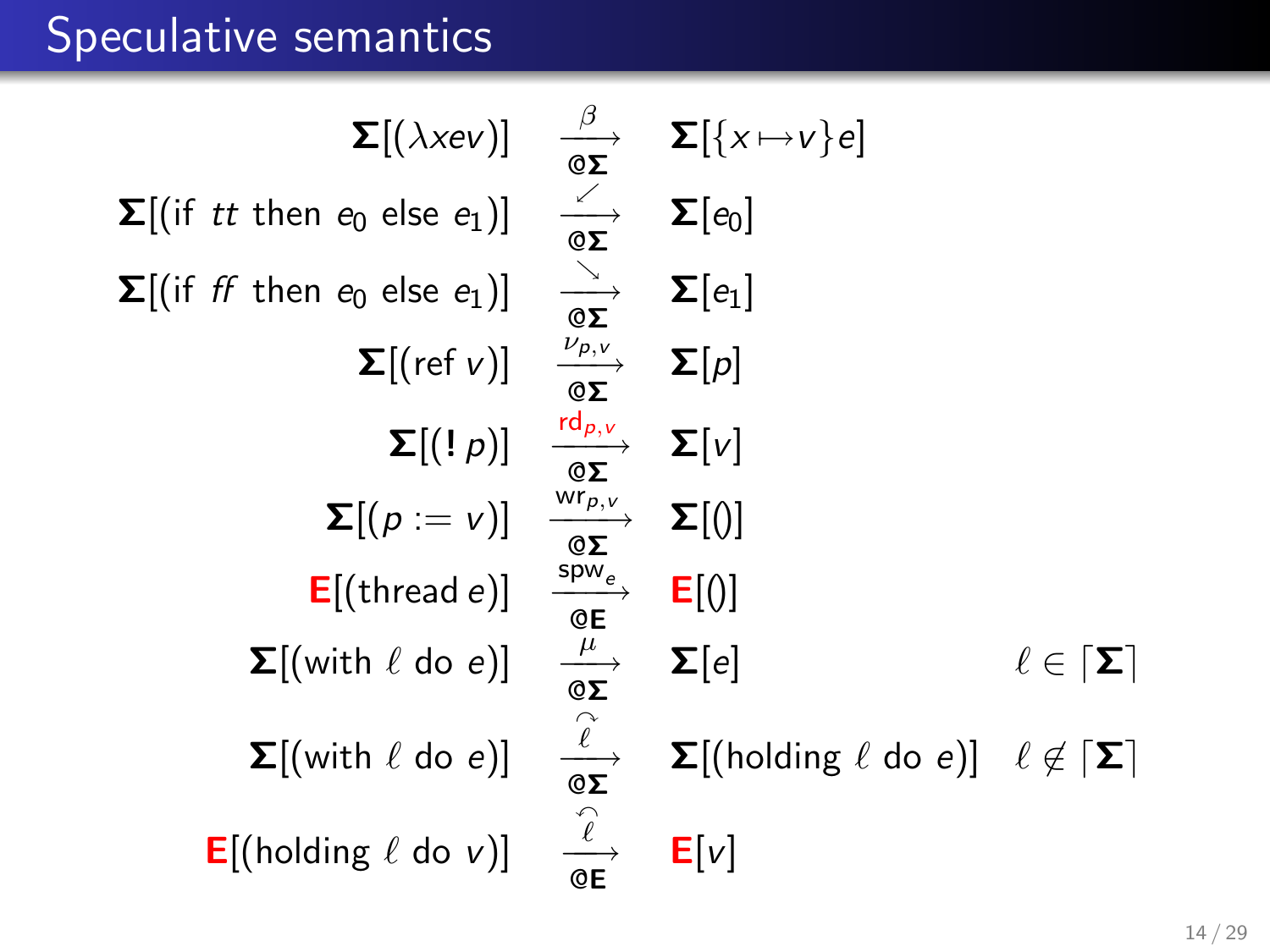# Speculative semantics

$$
\Sigma[(\lambda xev)] \quad \frac{\beta}{\omega \Sigma} \quad \Sigma[\{x \mapsto v\}e]
$$
\n
$$
\Sigma[(\text{if } t \text{ then } e_0 \text{ else } e_1)] \quad \frac{\beta}{\omega \Sigma} \quad \Sigma[e_0]
$$
\n
$$
\Sigma[(\text{if } f \text{ then } e_0 \text{ else } e_1)] \quad \frac{\lambda}{\omega \Sigma} \quad \Sigma[e_1]
$$
\n
$$
\Sigma[(\text{ref } v)] \quad \frac{\nu_{p,v}}{\omega \Sigma} \quad \Sigma[p]
$$
\n
$$
\Sigma[(\text{ref } v)] \quad \frac{\nu_{p,v}}{\omega \Sigma} \quad \Sigma[v]
$$
\n
$$
\Sigma[(\text{ref } v)] \quad \frac{\nu_{p,v}}{\omega \Sigma} \quad \Sigma[v]
$$
\n
$$
\Sigma[(\text{ref } e_1)] \quad \frac{\nu_{p,v}}{\omega \Sigma} \quad \Sigma[0]
$$
\n
$$
\Sigma[(\text{thread } e)] \quad \frac{\nu_{p,v}}{\omega \Sigma} \quad \Sigma[e]
$$
\n
$$
\Sigma[(\text{with } \ell \text{ do } e)] \quad \frac{\ell}{\omega \Sigma} \quad \Sigma[(\text{holding } \ell \text{ do } e)] \quad \ell \notin [\Sigma]
$$
\n
$$
\Sigma[(\text{with } \ell \text{ do } e)] \quad \frac{\ell}{\omega \Sigma} \quad \Sigma[(\text{holding } \ell \text{ do } e)] \quad \ell \notin [\Sigma]
$$
\n
$$
E[(\text{holding } \ell \text{ do } v)] \quad \frac{\ell}{\omega \Sigma} \quad E[v]
$$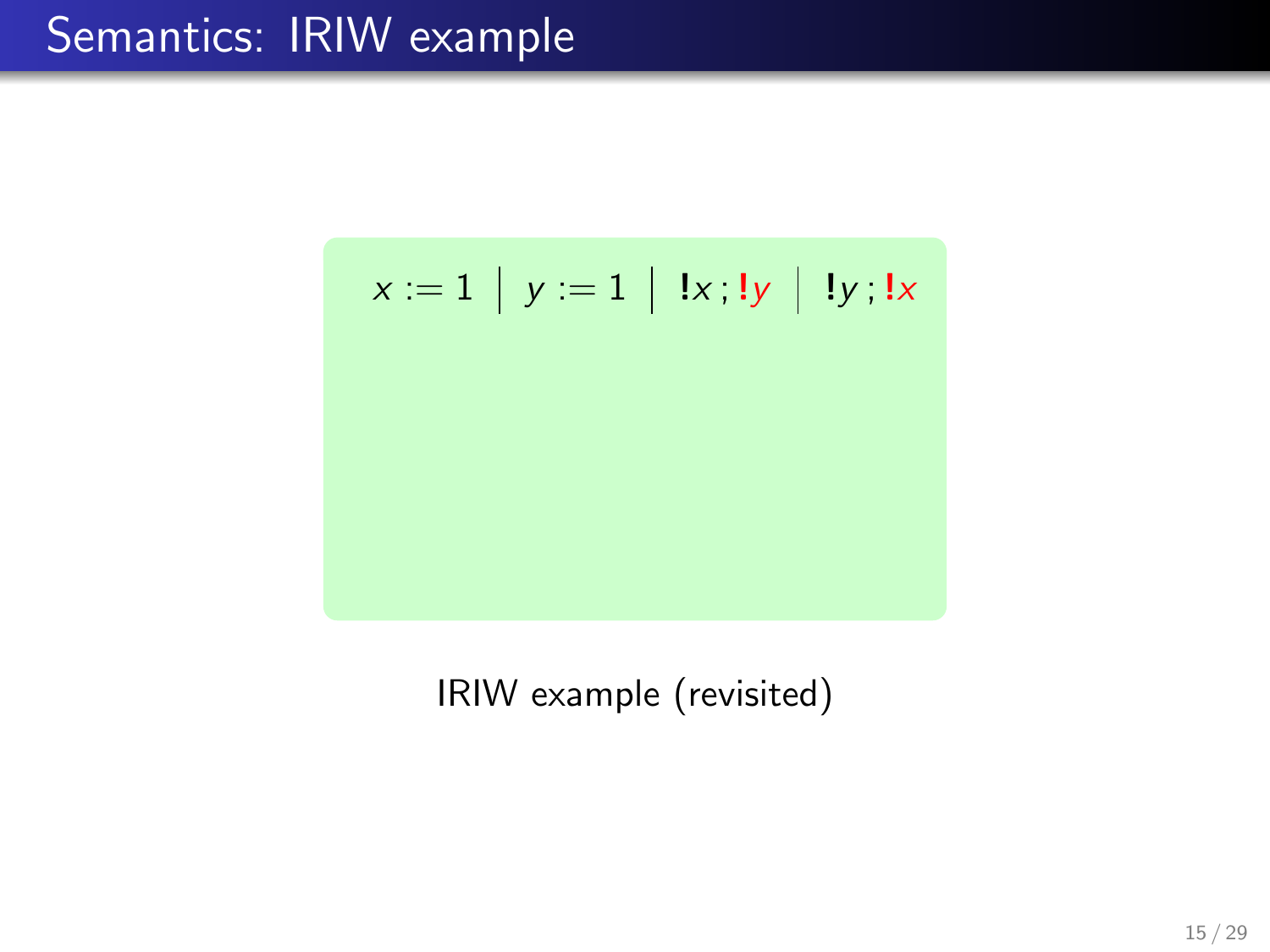$$
x := 1 | y := 1 | x; |y | y; |x|
$$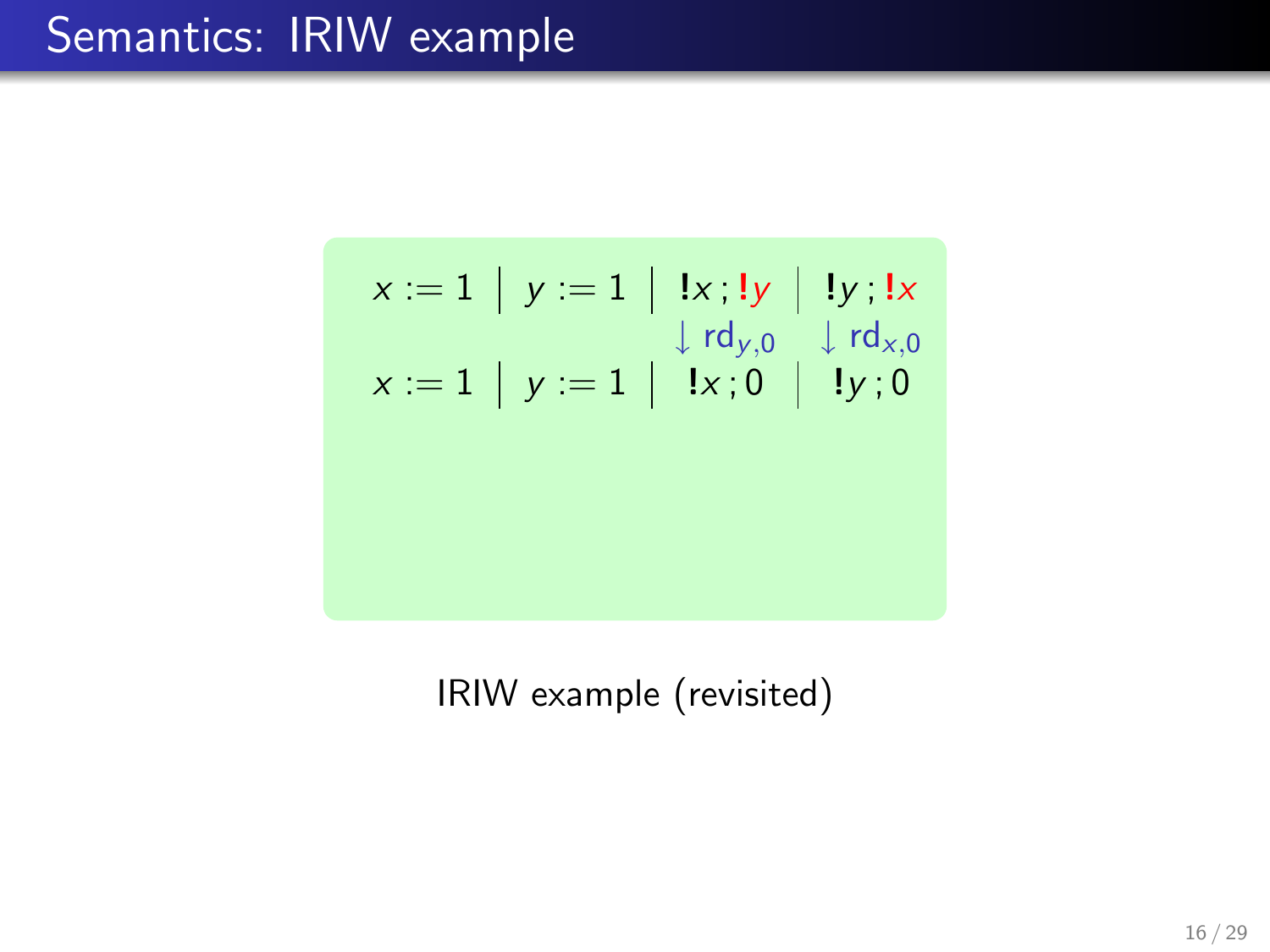$$
x := 1 | y := 1 | x; y | y |
$$
  
\n
$$
\downarrow rd_{y,0} \downarrow rd_{x,0}
$$
  
\n
$$
x := 1 | y := 1 | x; 0 | y; 0
$$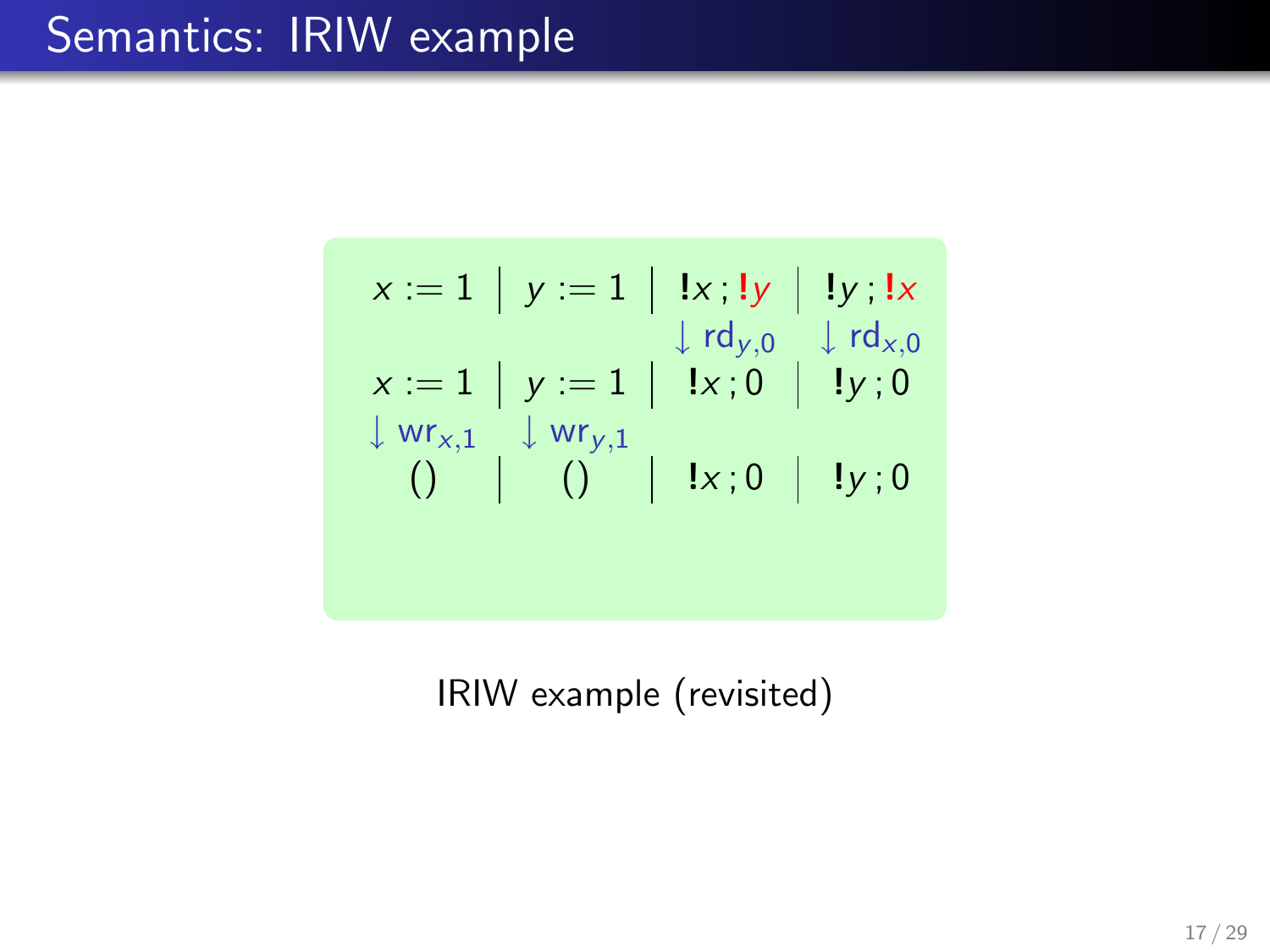$$
x := 1 | y := 1 | x; 1y | 1y; 1x
$$
  
\n
$$
x := 1 | y := 1 | x; 0 | 1y; 0
$$
  
\n
$$
\downarrow \text{rt}_{y,0} \downarrow \text{rt}_{x,0}
$$
  
\n
$$
\downarrow \text{wr}_{x,1} \downarrow \text{wr}_{y,1}
$$
  
\n
$$
\downarrow 0 | 1x; 0 | 1y; 0
$$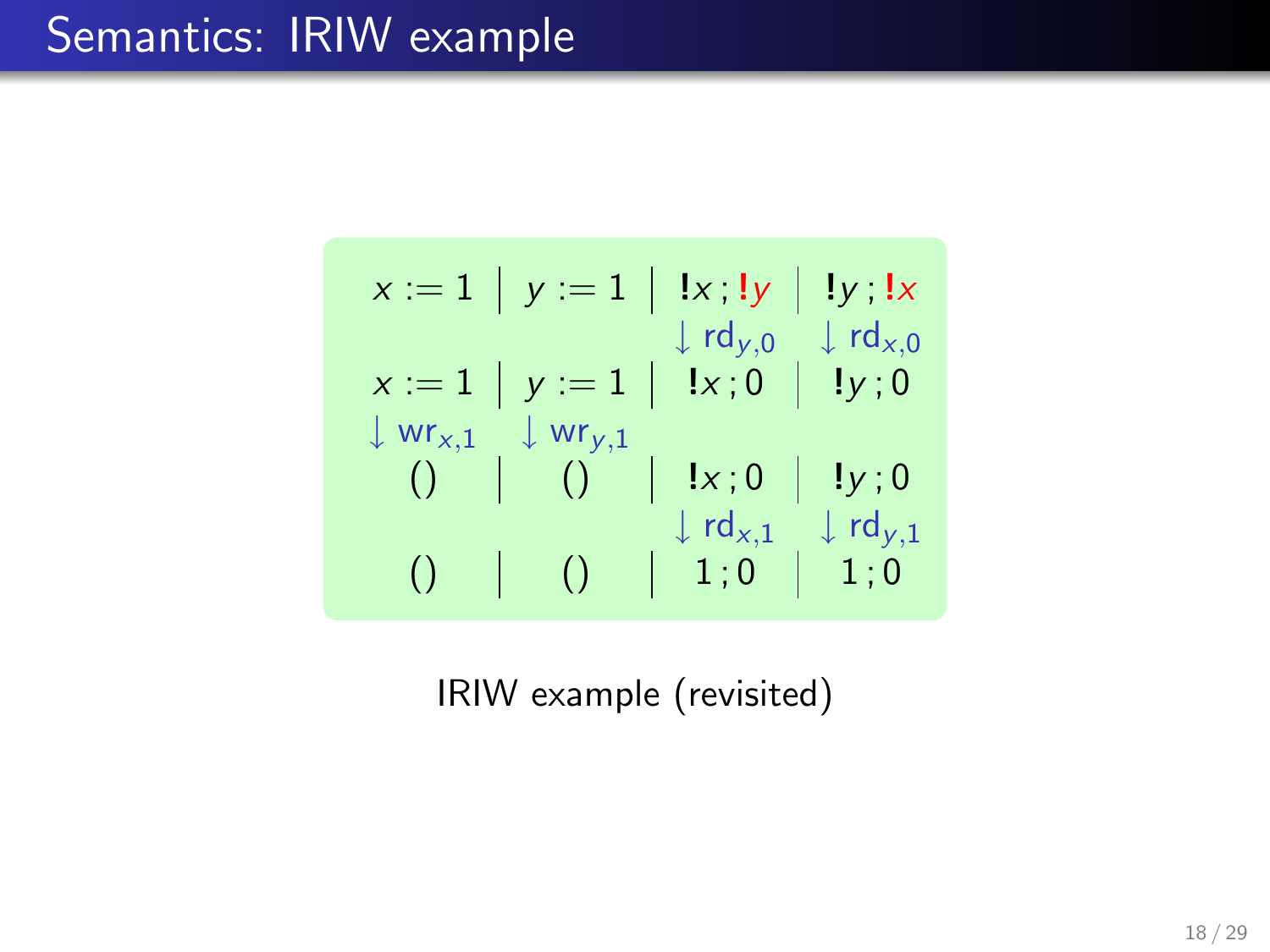$$
x := 1 \mid y := 1 \mid \exists x; \exists y \mid \exists y; \exists x
$$
  
\n
$$
x := 1 \mid y := 1 \mid \exists x; 0 \mid \exists y; 0
$$
  
\n
$$
\downarrow wr_{x,1} \downarrow wr_{y,1}
$$
  
\n
$$
\downarrow 0 \mid \exists x; 0 \mid \exists y; 0
$$
  
\n
$$
\downarrow r d_{x,1} \downarrow r d_{y,1}
$$
  
\n
$$
\downarrow r d_{x,1} \downarrow r d_{y,1}
$$
  
\n
$$
\downarrow 0 \mid \exists 1; 0
$$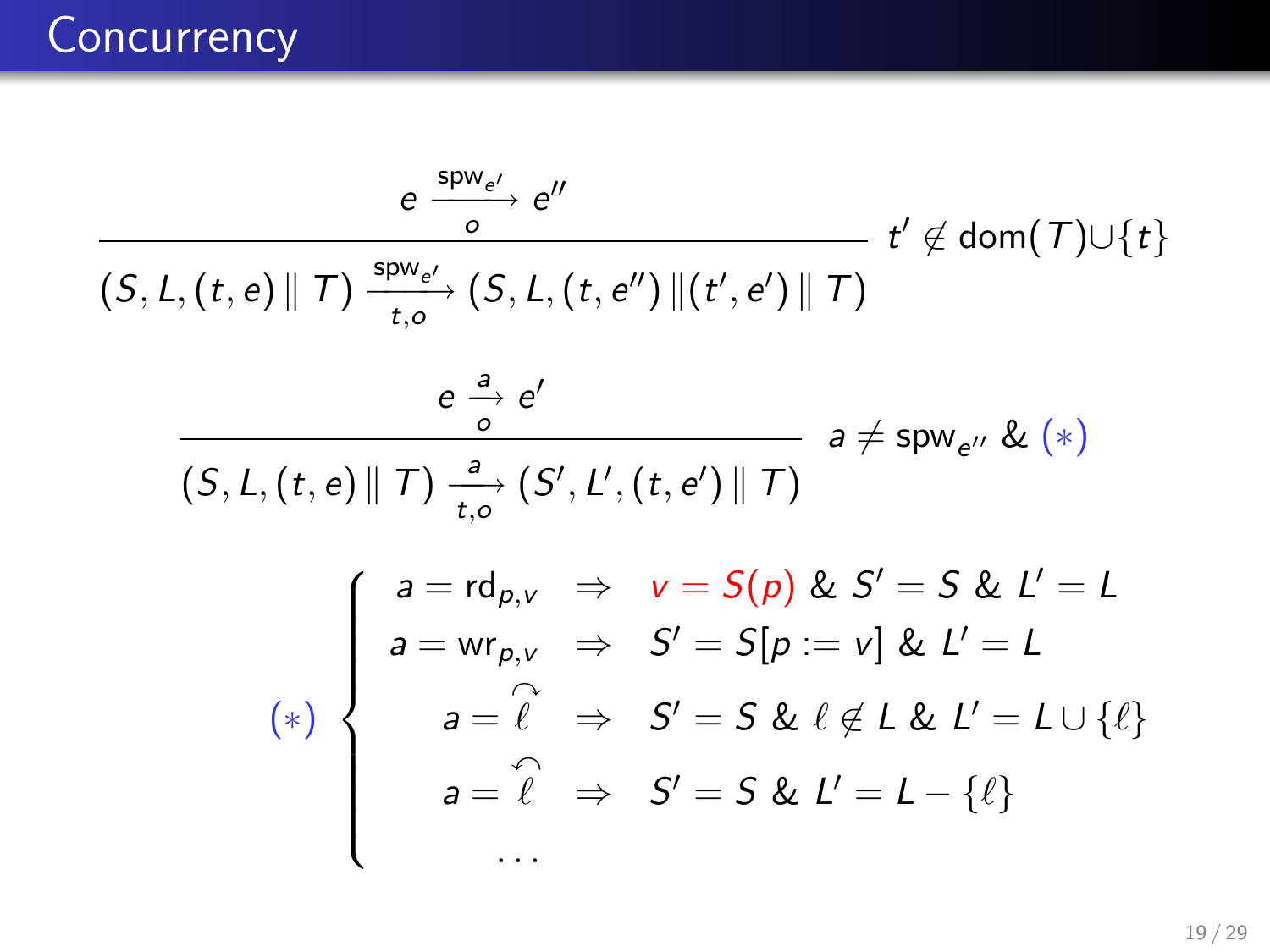# **Concurrency**

$$
\frac{e \frac{\text{spw}_{e'}}{o} e''}{(S, L, (t, e) \| T) \frac{\text{spw}_{e'}}{t, o} (S, L, (t, e'') \| (t', e') \| T)}
$$
\n
$$
t' \notin \text{dom}(T) \cup \{t\}
$$
\n
$$
\frac{e \frac{a}{o} e'}{o}
$$
\n
$$
\frac{e \frac{a}{o} e'}{(S, L, (t, e) \| T) \frac{a}{t, o} (S', L', (t, e') \| T)}
$$
\n
$$
a \neq \text{spw}_{e''} \& (*)
$$
\n
$$
\begin{cases}\na = \text{rd}_{p, v} \Rightarrow v = S(p) \& S' = S \& L' = L \\
a = \text{wr}_{p, v} \Rightarrow S' = S[p := v] \& L' = L \\
a = \hat{\ell} \Rightarrow S' = S \& \ell \notin L \& L' = L \cup \{\ell\} \\
a = \hat{\ell} \Rightarrow S' = S \& L' = L - \{\ell\} \\
\dots\n\end{cases}
$$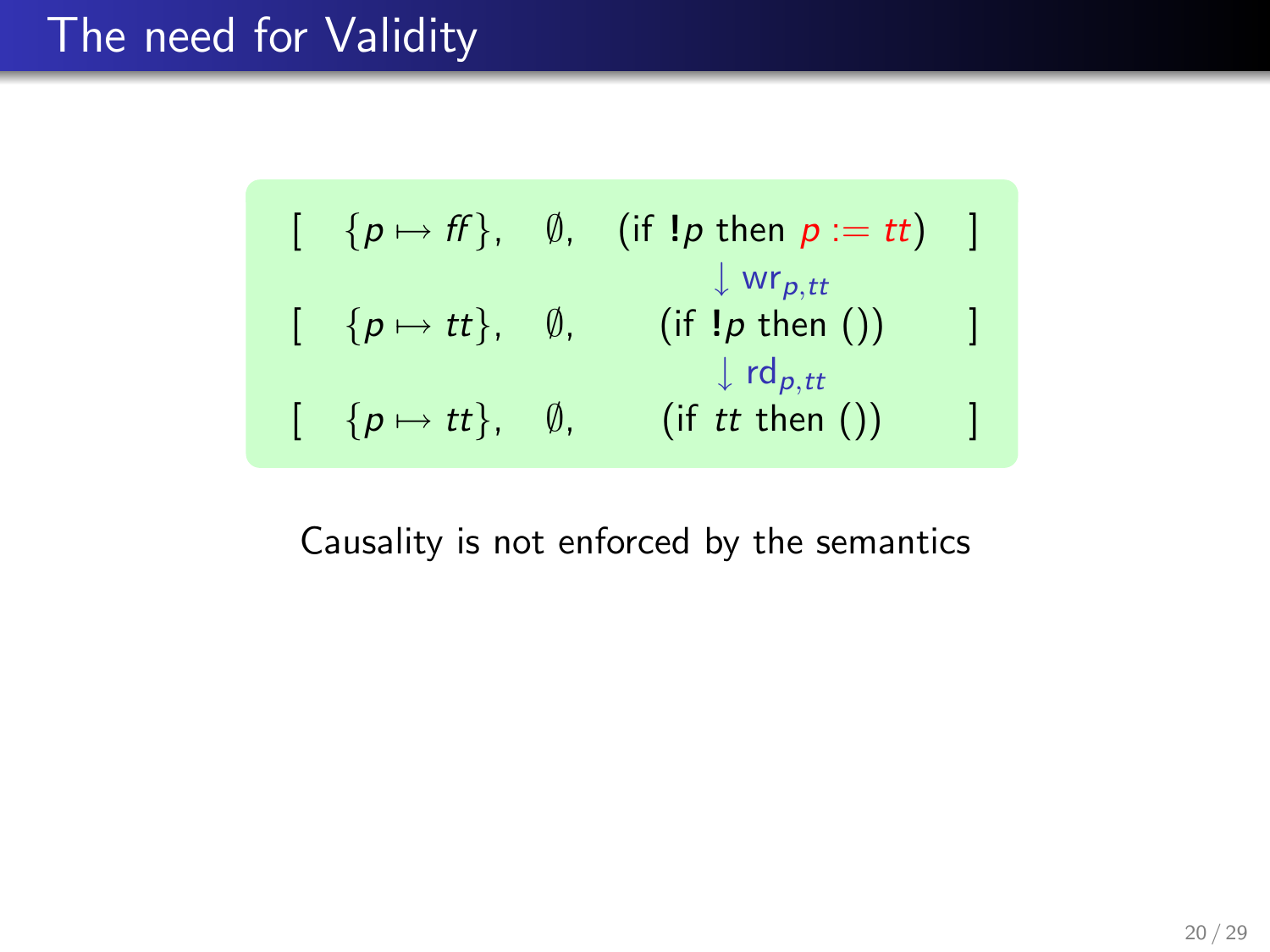### The need for Validity

$$
[\begin{array}{ccc} \{p \mapsto ff\}, & \emptyset, & (\text{if } !p \text{ then } p := tt) \end{array}]
$$
  
\n
$$
[\begin{array}{ccc} \{p \mapsto tt\}, & \emptyset, & (\text{if } !p \text{ then } () \end{array}]
$$
  
\n
$$
[\begin{array}{ccc} \{p \mapsto tt\}, & \emptyset, & (\text{if } tt \text{ then } () \end{array})]
$$
  
\n
$$
[\begin{array}{ccc} \{p \mapsto tt\}, & \emptyset, & (\text{if } tt \text{ then } () \end{array})]
$$

Causality is not enforced by the semantics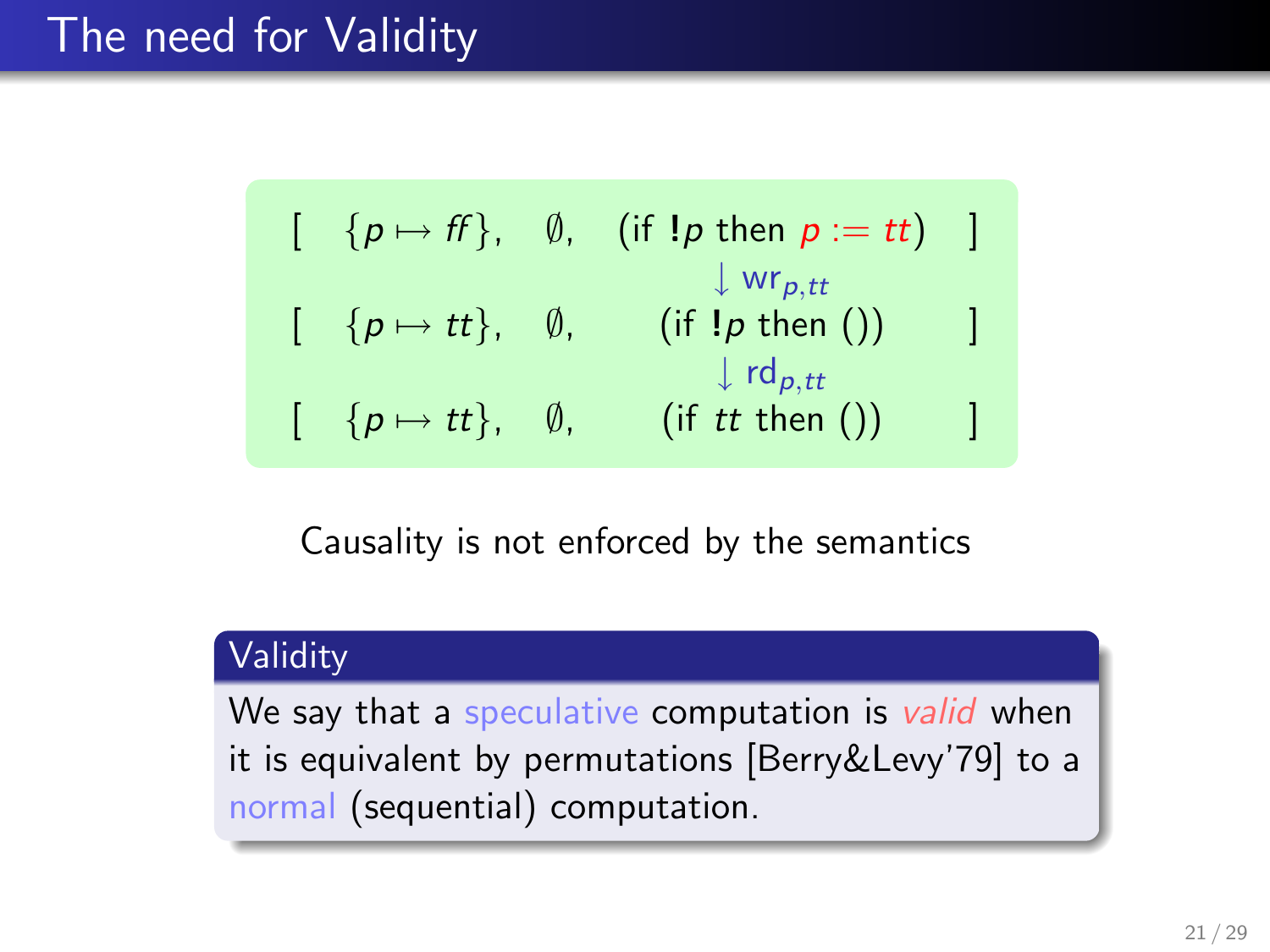## The need for Validity

$$
[\begin{array}{ccc} \{p \mapsto ff\}, & \emptyset, & (\text{if } !p \text{ then } p := tt) \end{array}]
$$
  
\n
$$
[\begin{array}{ccc} \{p \mapsto tt\}, & \emptyset, & (\text{if } !p \text{ then } () \end{array}]
$$
  
\n
$$
[\begin{array}{ccc} \{p \mapsto tt\}, & \emptyset, & (\text{if } t \text{ then } () \end{array}) ]
$$
  
\n
$$
[\begin{array}{ccc} \{p \mapsto tt\}, & \emptyset, & (\text{if } tt \text{ then } () \end{array}) ]
$$

Causality is not enforced by the semantics

#### **Validity**

We say that a speculative computation is valid when it is equivalent by permutations [Berry&Levy'79] to a normal (sequential) computation.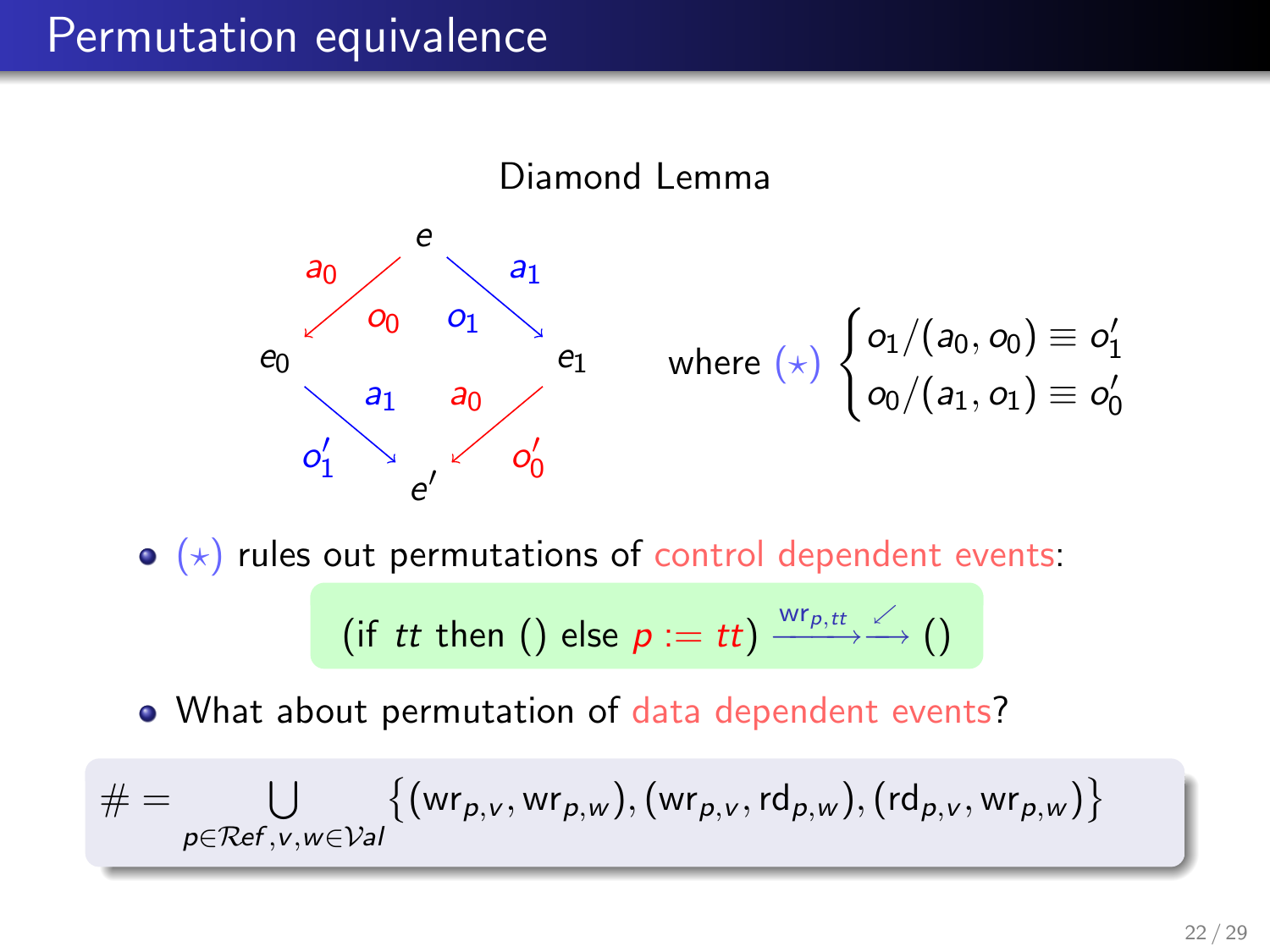#### Permutation equivalence



 $\bullet$  ( $\star$ ) rules out permutations of control dependent events:

$$
\text{ (if }tt\text{ then }(\text{) else }p:=tt\text{)}\xrightarrow{\text{wr}_{p,tt}}\smash{\overset{\swarrow}{\longrightarrow}}\text{ ()}
$$

• What about permutation of data dependent events?

$$
\# = \bigcup_{p \in \mathcal{R}\text{ef}, v, w \in \mathcal{V}\text{al}} \bigl\{ (\textsf{wr}_{p,v}, \textsf{wr}_{p,w}), (\textsf{wr}_{p,v}, \textsf{rd}_{p,w}), (\textsf{rd}_{p,v}, \textsf{wr}_{p,w}) \bigr\}
$$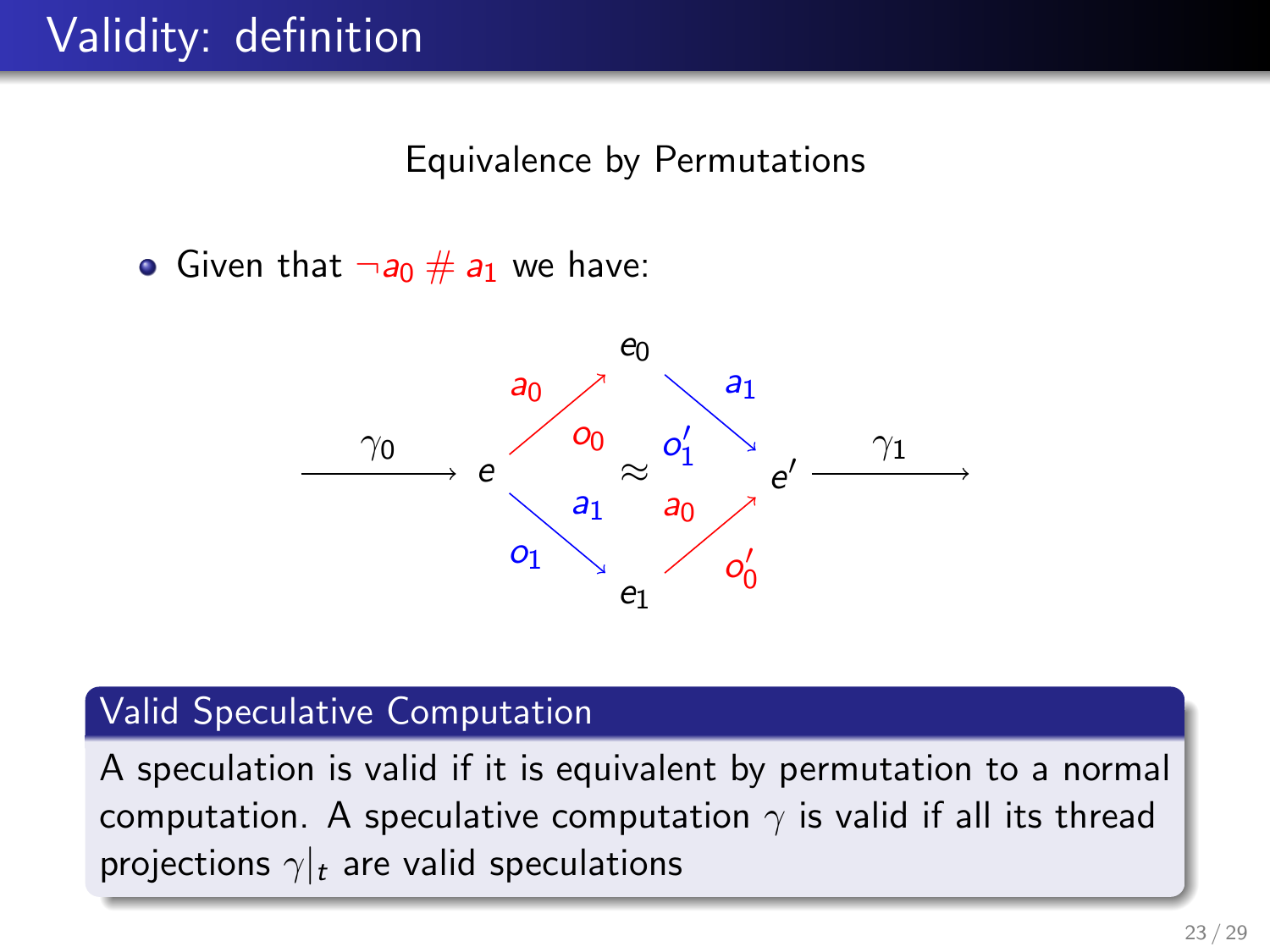Equivalence by Permutations

Given that  $\neg a_0 \# a_1$  we have:



#### Valid Speculative Computation

A speculation is valid if it is equivalent by permutation to a normal computation. A speculative computation  $\gamma$  is valid if all its thread projections  $\gamma|_t$  are valid speculations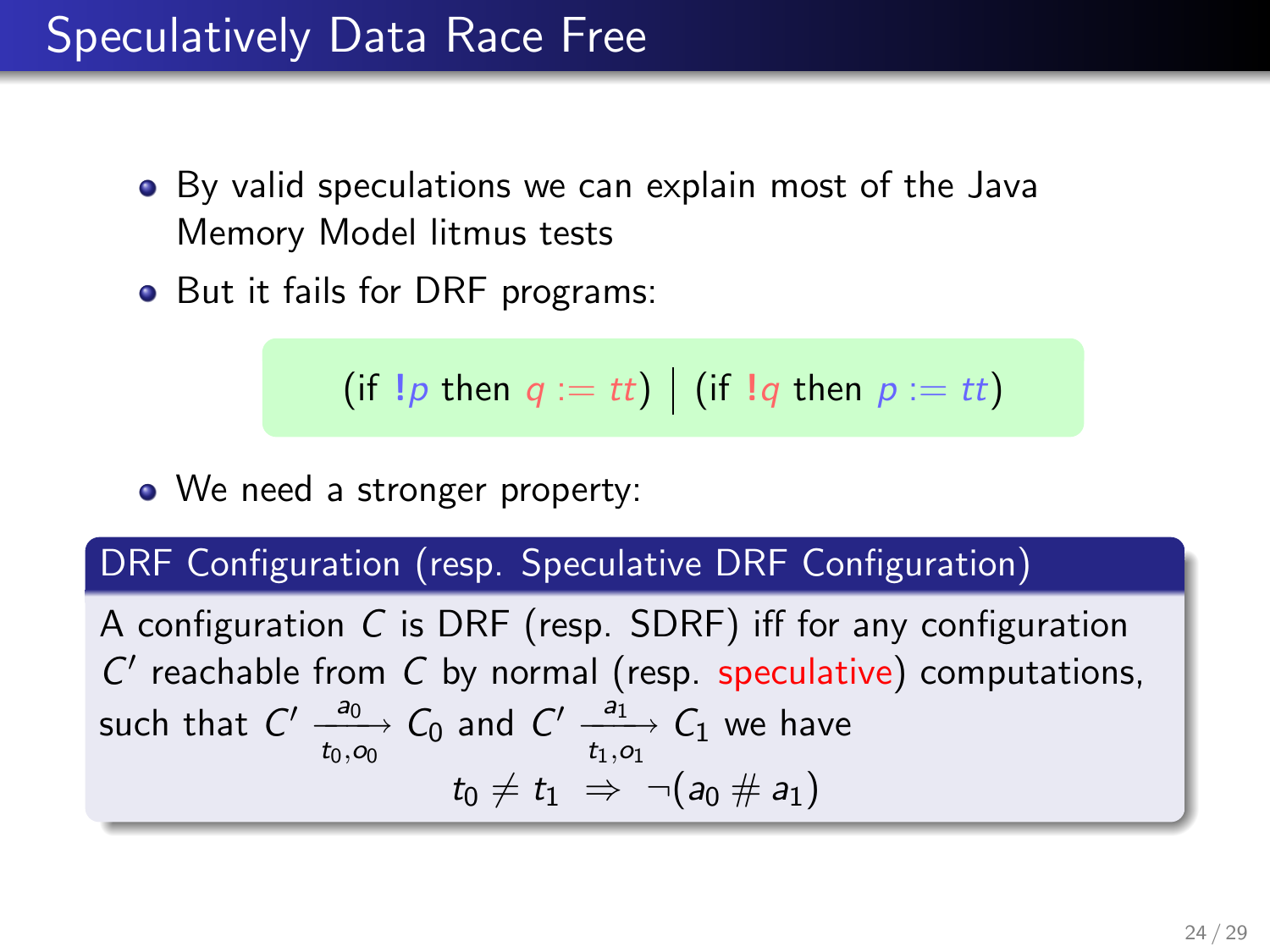#### Speculatively Data Race Free

- By valid speculations we can explain most of the Java Memory Model litmus tests
- But it fails for DRF programs:

$$
(if !p then q := tt) | (if !q then p := tt)
$$

• We need a stronger property:

#### DRF Configuration (resp. Speculative DRF Configuration)

A configuration C is DRF (resp. SDRF) iff for any configuration  $C'$  reachable from  $C$  by normal (resp. speculative) computations, such that  $C' \xrightarrow[t_0,\infty]{a_0} C_0$  and  $C' \xrightarrow[t_1,\infty]{a_1} C_1$  we have  $t_0 \neq t_1 \Rightarrow \neg(a_0 \# a_1)$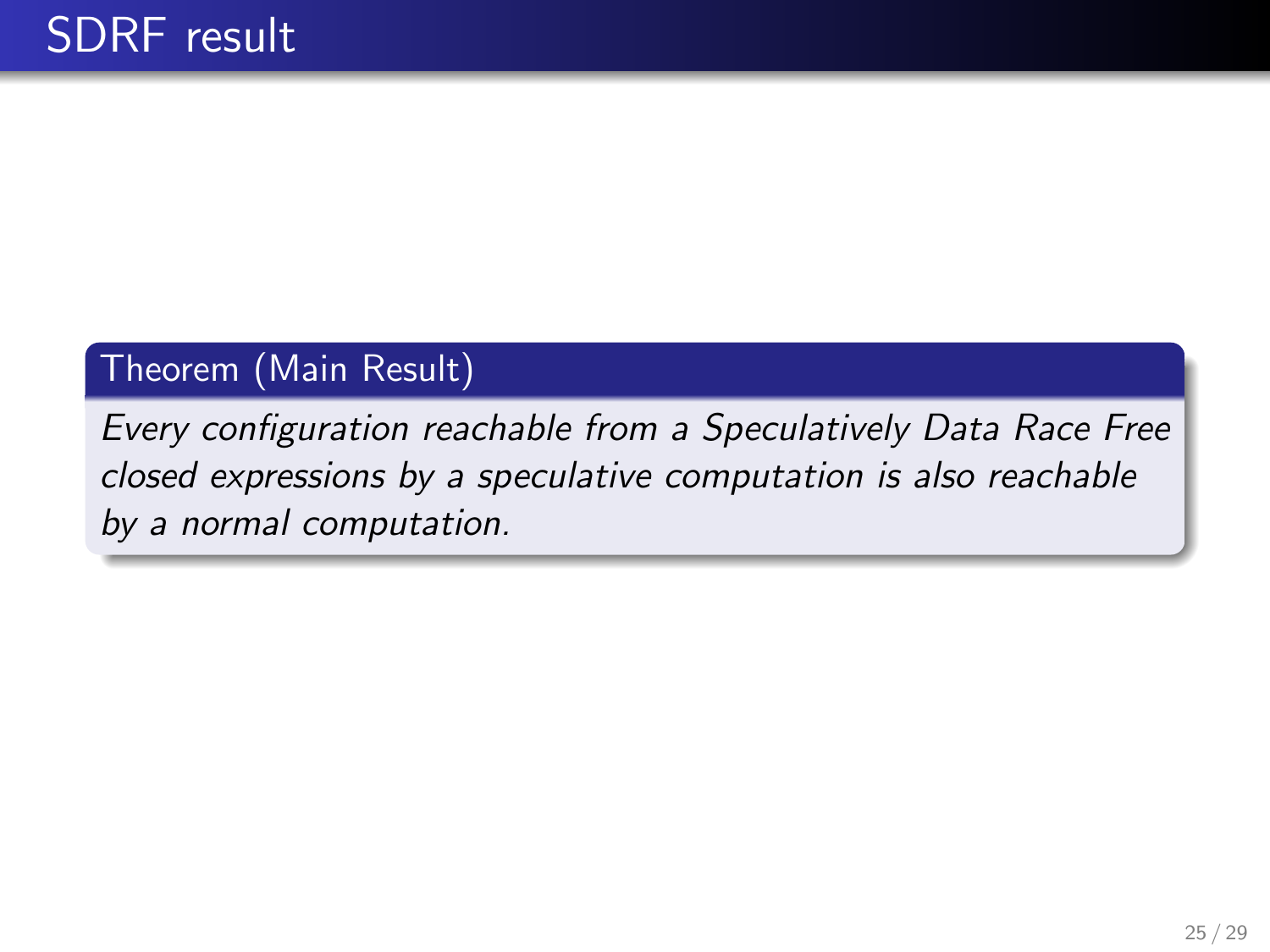#### Theorem (Main Result)

Every configuration reachable from a Speculatively Data Race Free closed expressions by a speculative computation is also reachable by a normal computation.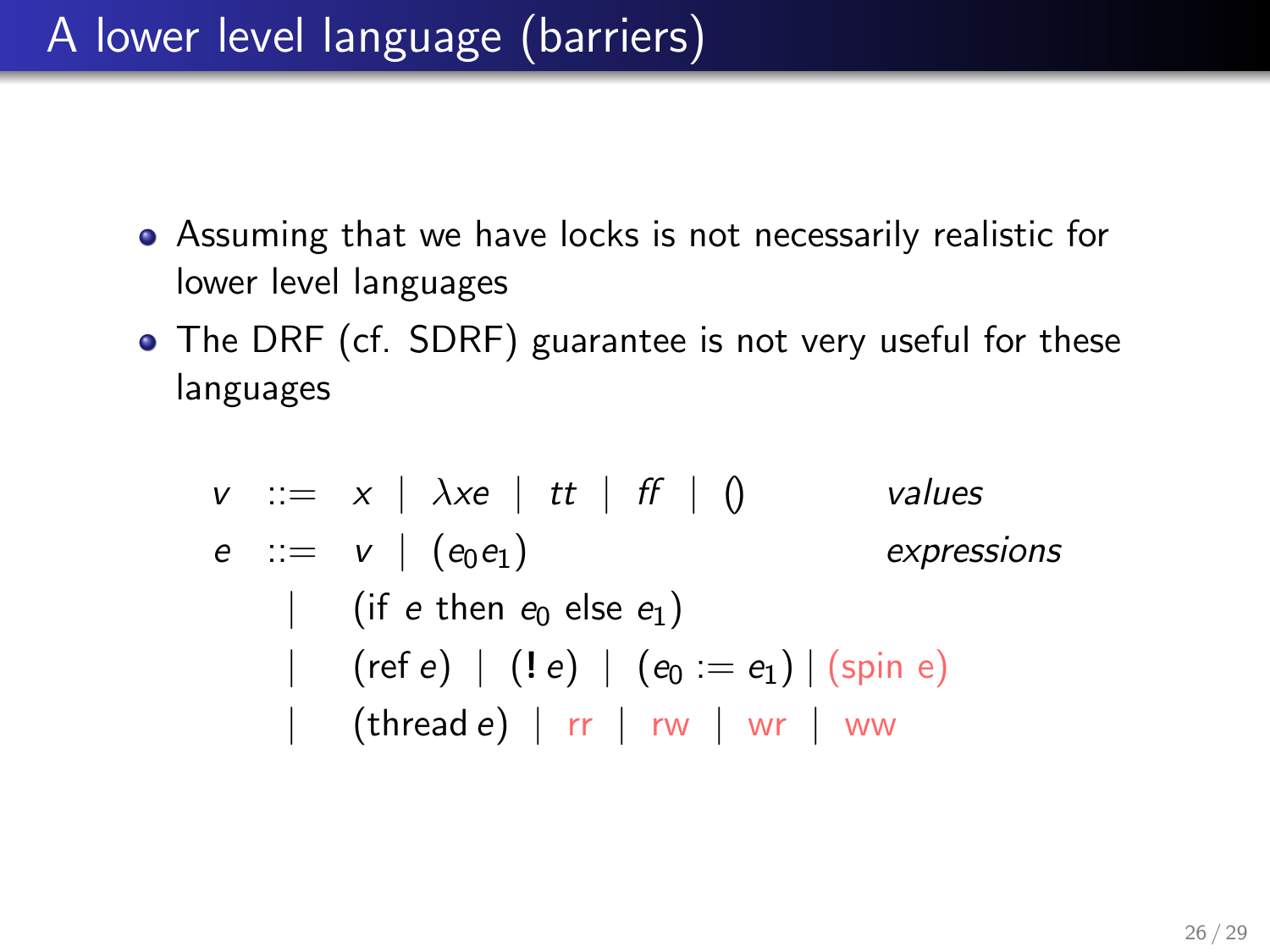## A lower level language (barriers)

- Assuming that we have locks is not necessarily realistic for lower level languages
- The DRF (cf. SDRF) guarantee is not very useful for these languages

$$
v ::= x \mid \lambda xe \mid tt \mid ff \mid ()
$$
 values  
\n
$$
e ::= v \mid (e_0e_1)
$$
 expressions  
\n
$$
\mid \text{ (if } e \text{ then } e_0 \text{ else } e_1)
$$
  
\n
$$
\mid \text{ (ref } e) \mid (! e) \mid (e_0 := e_1) \mid (\text{spin } e)
$$
  
\n
$$
\mid \text{ (thread } e) \mid rr \mid rw \mid wr \mid ww
$$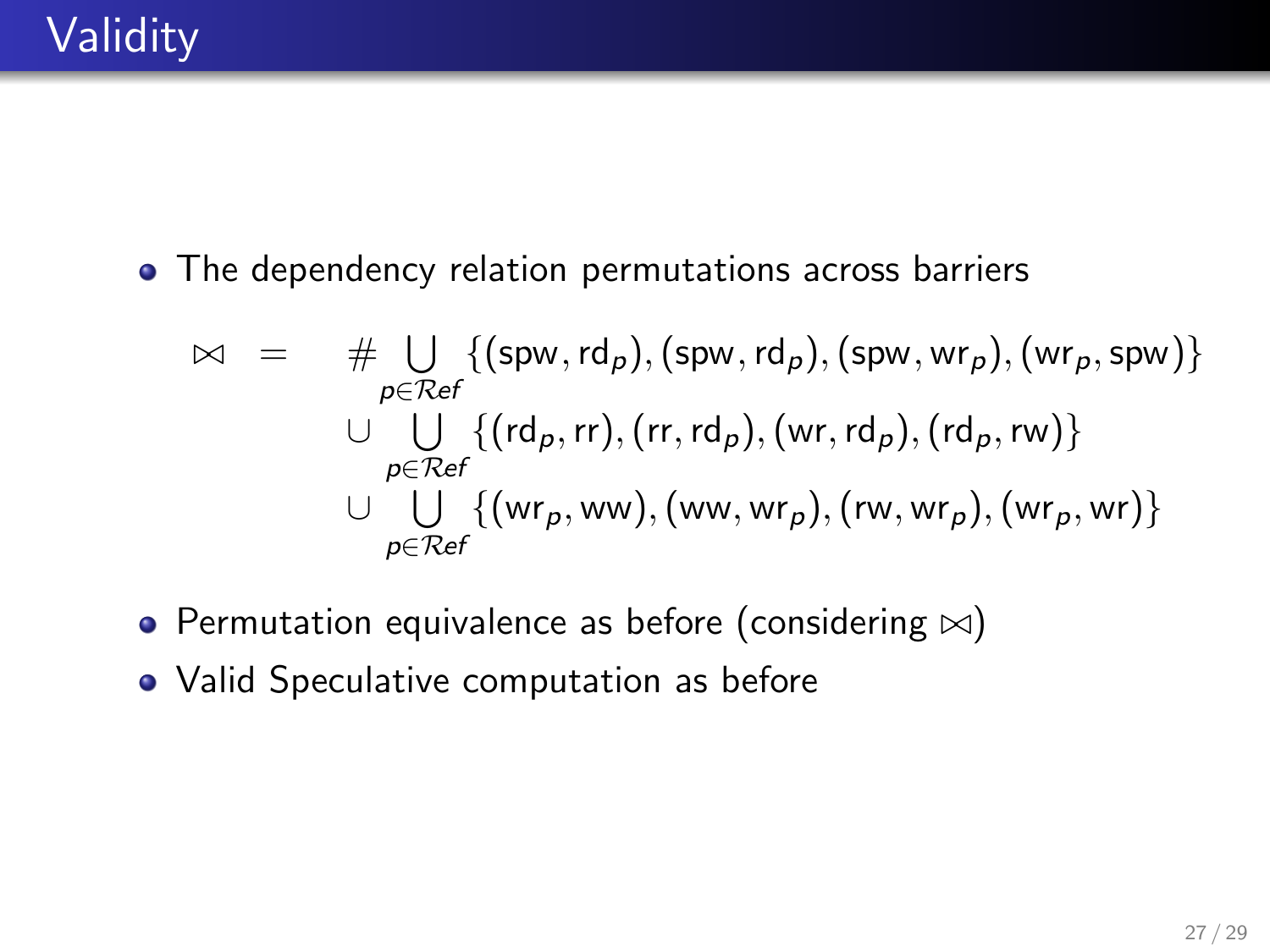• The dependency relation permutations across barriers

$$
\bowtie = \# \bigcup_{p \in Ref} \{ (spw, rd_p), (spw, rd_p), (spw, wr_p), (wr_p, spw) \}
$$
  
\n
$$
\cup \bigcup_{p \in Ref} \{ (rd_p, rr), (rr, rd_p), (wr, rd_p), (rd_p, rw) \}
$$
  
\n
$$
\cup \bigcup_{p \in Ref} \{ (wr_p, ww), (ww, wr_p), (rw, wr_p), (wr_p, wr) \}
$$

- Permutation equivalence as before (considering  $\bowtie$ )
- Valid Speculative computation as before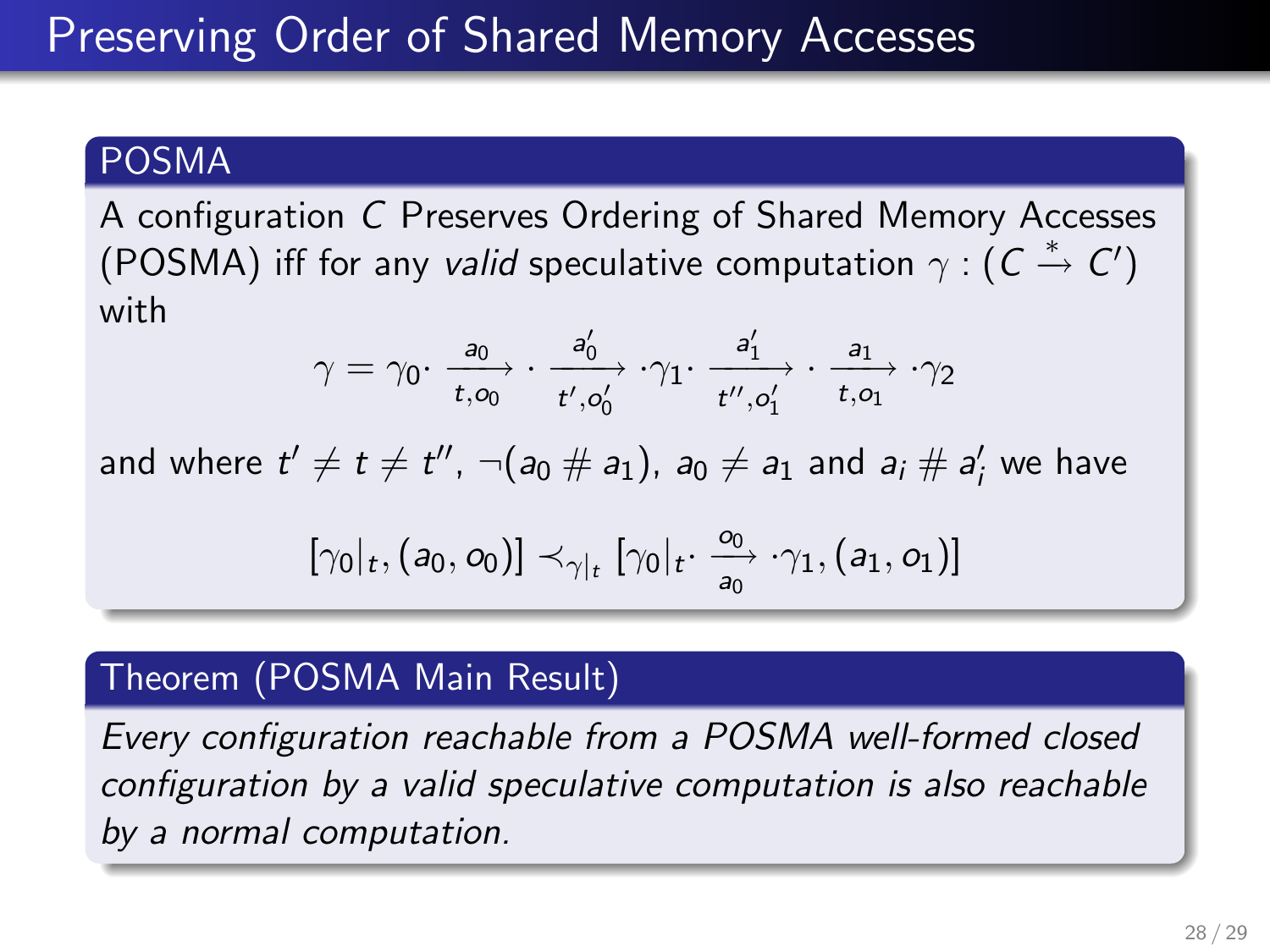#### POSMA

A configuration C Preserves Ordering of Shared Memory Accesses (POSMA) iff for any valid speculative computation  $\gamma : (C \stackrel{*}{\rightarrow} C')$ with

$$
\gamma = \gamma_0 \cdot \frac{a_0}{t, o_0} \cdot \frac{a'_0}{t', o'_0} \cdot \gamma_1 \cdot \frac{a'_1}{t'', o'_1} \cdot \frac{a_1}{t, o_1} \cdot \gamma_2
$$

and where  $t'\neq t\neq t''$ ,  $\neg(a_0\# a_1)$ ,  $a_0\neq a_1$  and  $a_i\# a'_i$  we have

$$
[\gamma_0|_t, (a_0, o_0)] \prec_{\gamma|_t} [\gamma_0|_t \cdot \frac{o_0}{a_0} \cdot \gamma_1, (a_1, o_1)]
$$

#### Theorem (POSMA Main Result)

Every configuration reachable from a POSMA well-formed closed configuration by a valid speculative computation is also reachable by a normal computation.